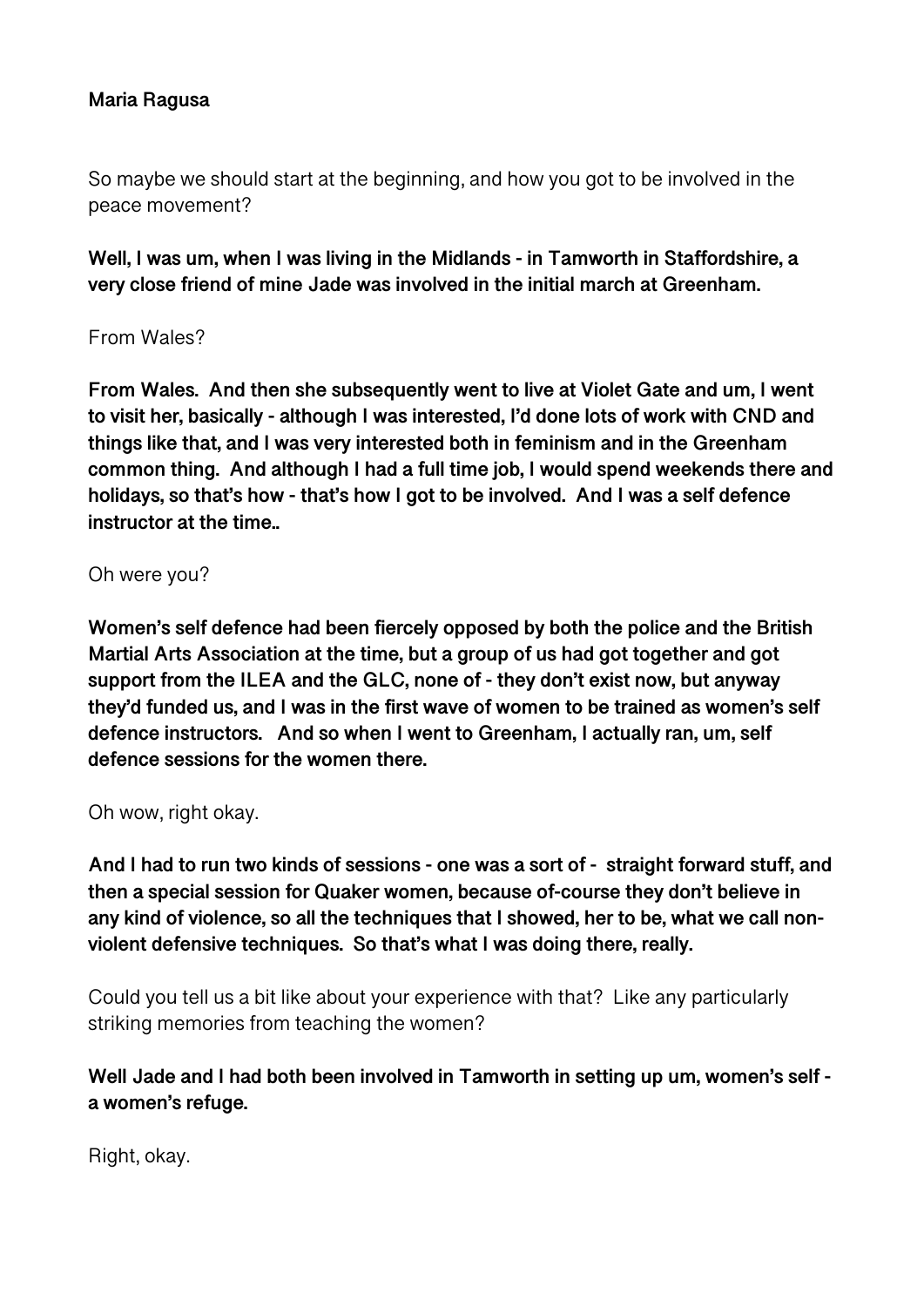## **Maria Ragusa**

So maybe we should start at the beginning, and how you got to be involved in the peace movement?

**Well, I was um, when I was living in the Midlands - in Tamworth in Staffordshire, a very close friend of mine Jade was involved in the initial march at Greenham.** 

## From Wales?

**From Wales. And then she subsequently went to live at Violet Gate and um, I went to visit her, basically - although I was interested, I'd done lots of work with CND and things like that, and I was very interested both in feminism and in the Greenham common thing. And although I had a full time job, I would spend weekends there and holidays, so that's how - that's how I got to be involved. And I was a self defence instructor at the time..** 

#### Oh were you?

**Women's self defence had been fiercely opposed by both the police and the British Martial Arts Association at the time, but a group of us had got together and got support from the ILEA and the GLC, none of - they don't exist now, but anyway they'd funded us, and I was in the first wave of women to be trained as women's self defence instructors. And so when I went to Greenham, I actually ran, um, self defence sessions for the women there.** 

#### Oh wow, right okay.

**And I had to run two kinds of sessions - one was a sort of - straight forward stuff, and then a special session for Quaker women, because of-course they don't believe in any kind of violence, so all the techniques that I showed, her to be, what we call nonviolent defensive techniques. So that's what I was doing there, really.** 

Could you tell us a bit like about your experience with that? Like any particularly striking memories from teaching the women?

## **Well Jade and I had both been involved in Tamworth in setting up um, women's self a women's refuge.**

Right, okay.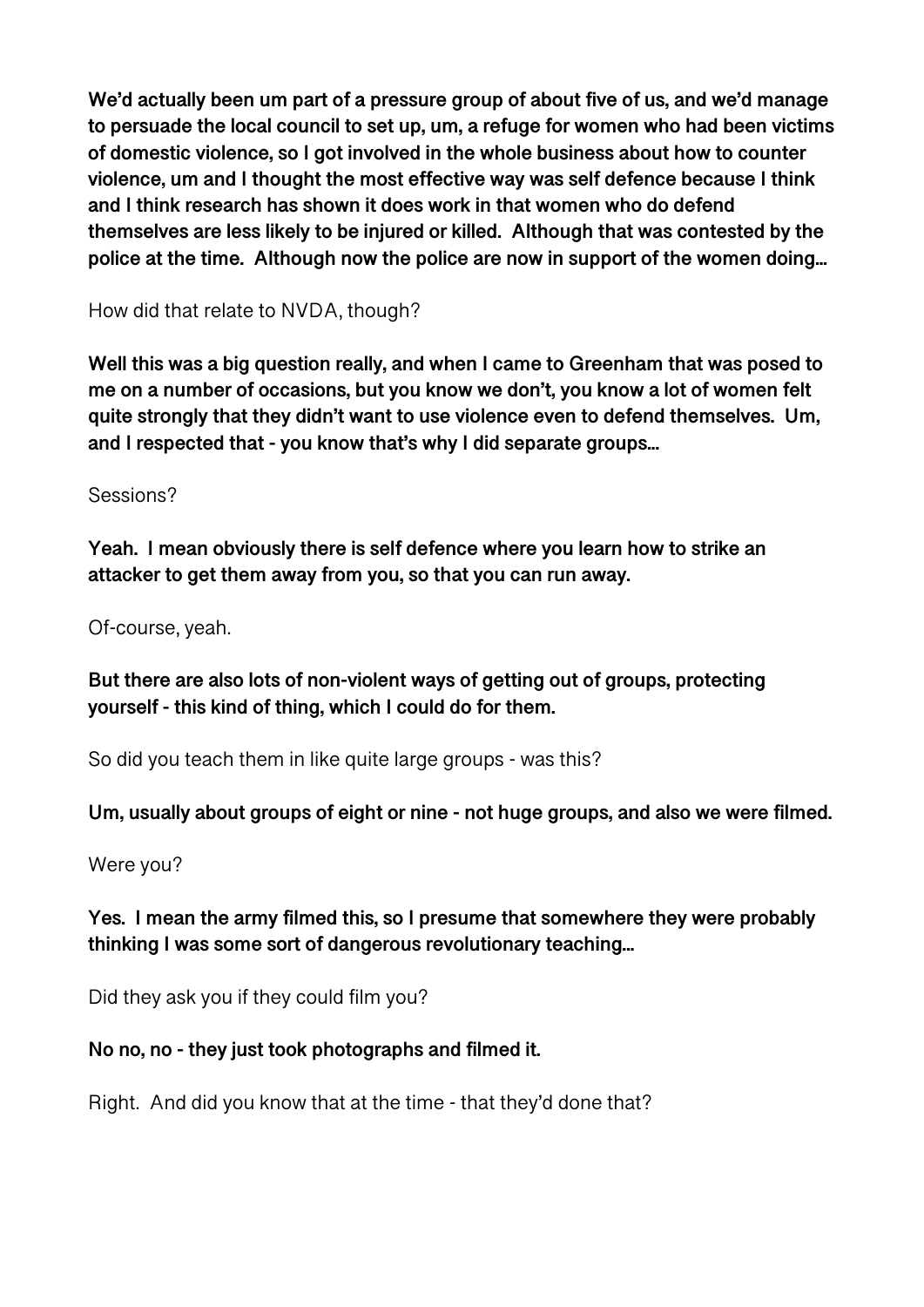**We'd actually been um part of a pressure group of about five of us, and we'd manage to persuade the local council to set up, um, a refuge for women who had been victims of domestic violence, so I got involved in the whole business about how to counter violence, um and I thought the most effective way was self defence because I think and I think research has shown it does work in that women who do defend themselves are less likely to be injured or killed. Although that was contested by the police at the time. Although now the police are now in support of the women doing...** 

How did that relate to NVDA, though?

**Well this was a big question really, and when I came to Greenham that was posed to me on a number of occasions, but you know we don't, you know a lot of women felt quite strongly that they didn't want to use violence even to defend themselves. Um, and I respected that - you know that's why I did separate groups...** 

Sessions?

**Yeah. I mean obviously there is self defence where you learn how to strike an attacker to get them away from you, so that you can run away.** 

Of-course, yeah.

**But there are also lots of non-violent ways of getting out of groups, protecting yourself - this kind of thing, which I could do for them.** 

So did you teach them in like quite large groups - was this?

**Um, usually about groups of eight or nine - not huge groups, and also we were filmed.** 

Were you?

**Yes. I mean the army filmed this, so I presume that somewhere they were probably thinking I was some sort of dangerous revolutionary teaching...** 

Did they ask you if they could film you?

## **No no, no - they just took photographs and filmed it.**

Right. And did you know that at the time - that they'd done that?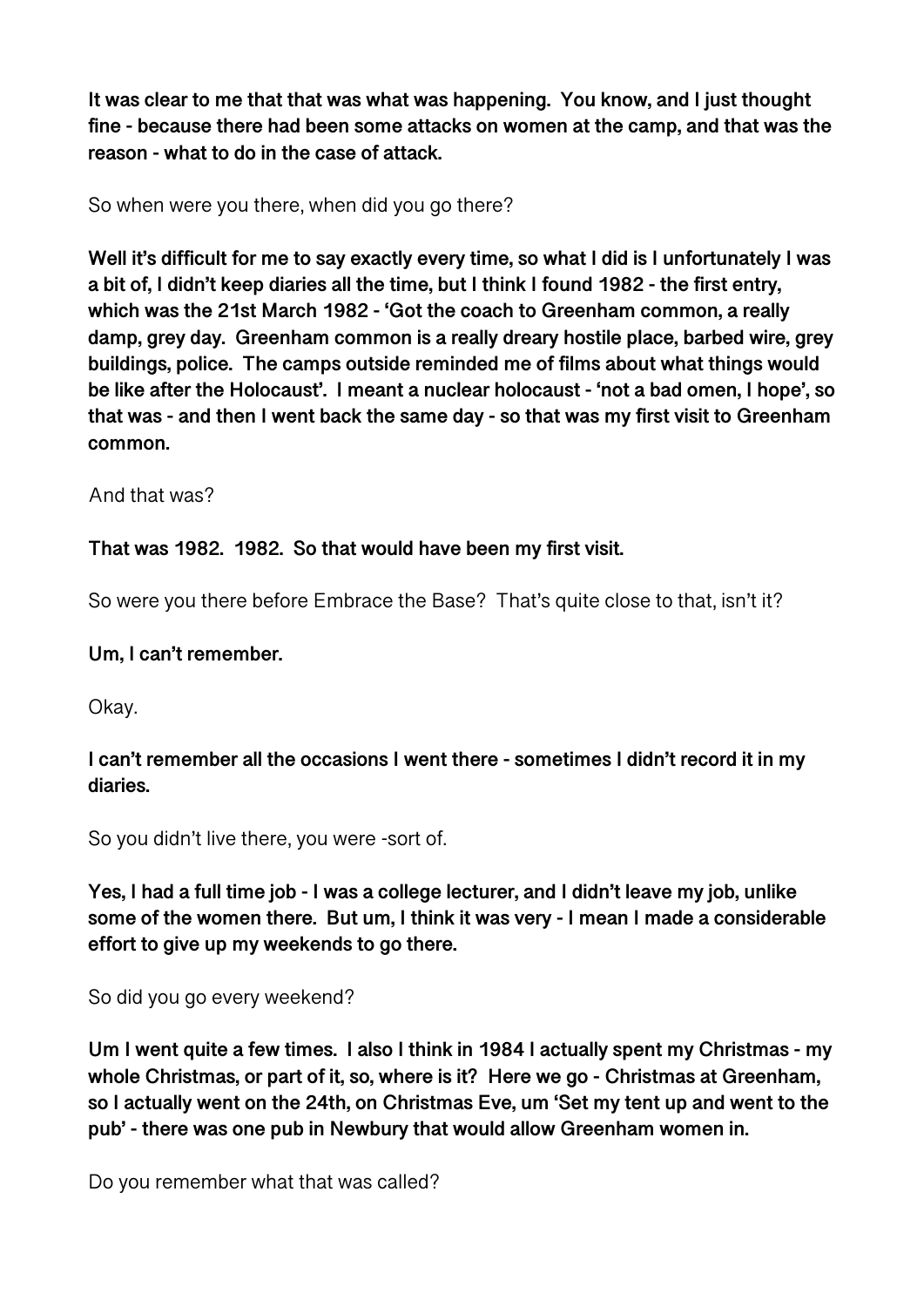**It was clear to me that that was what was happening. You know, and I just thought fine - because there had been some attacks on women at the camp, and that was the reason - what to do in the case of attack.** 

So when were you there, when did you go there?

**Well it's difficult for me to say exactly every time, so what I did is I unfortunately I was a bit of, I didn't keep diaries all the time, but I think I found 1982 - the first entry, which was the 21st March 1982 - 'Got the coach to Greenham common, a really damp, grey day. Greenham common is a really dreary hostile place, barbed wire, grey buildings, police. The camps outside reminded me of films about what things would be like after the Holocaust'. I meant a nuclear holocaust - 'not a bad omen, I hope', so that was - and then I went back the same day - so that was my first visit to Greenham common.** 

And that was?

## **That was 1982. 1982. So that would have been my first visit.**

So were you there before Embrace the Base? That's quite close to that, isn't it?

### **Um, I can't remember.**

Okay.

## **I can't remember all the occasions I went there - sometimes I didn't record it in my diaries.**

So you didn't live there, you were -sort of.

**Yes, I had a full time job - I was a college lecturer, and I didn't leave my job, unlike some of the women there. But um, I think it was very - I mean I made a considerable effort to give up my weekends to go there.** 

So did you go every weekend?

**Um I went quite a few times. I also I think in 1984 I actually spent my Christmas - my whole Christmas, or part of it, so, where is it? Here we go - Christmas at Greenham, so I actually went on the 24th, on Christmas Eve, um 'Set my tent up and went to the pub' - there was one pub in Newbury that would allow Greenham women in.** 

Do you remember what that was called?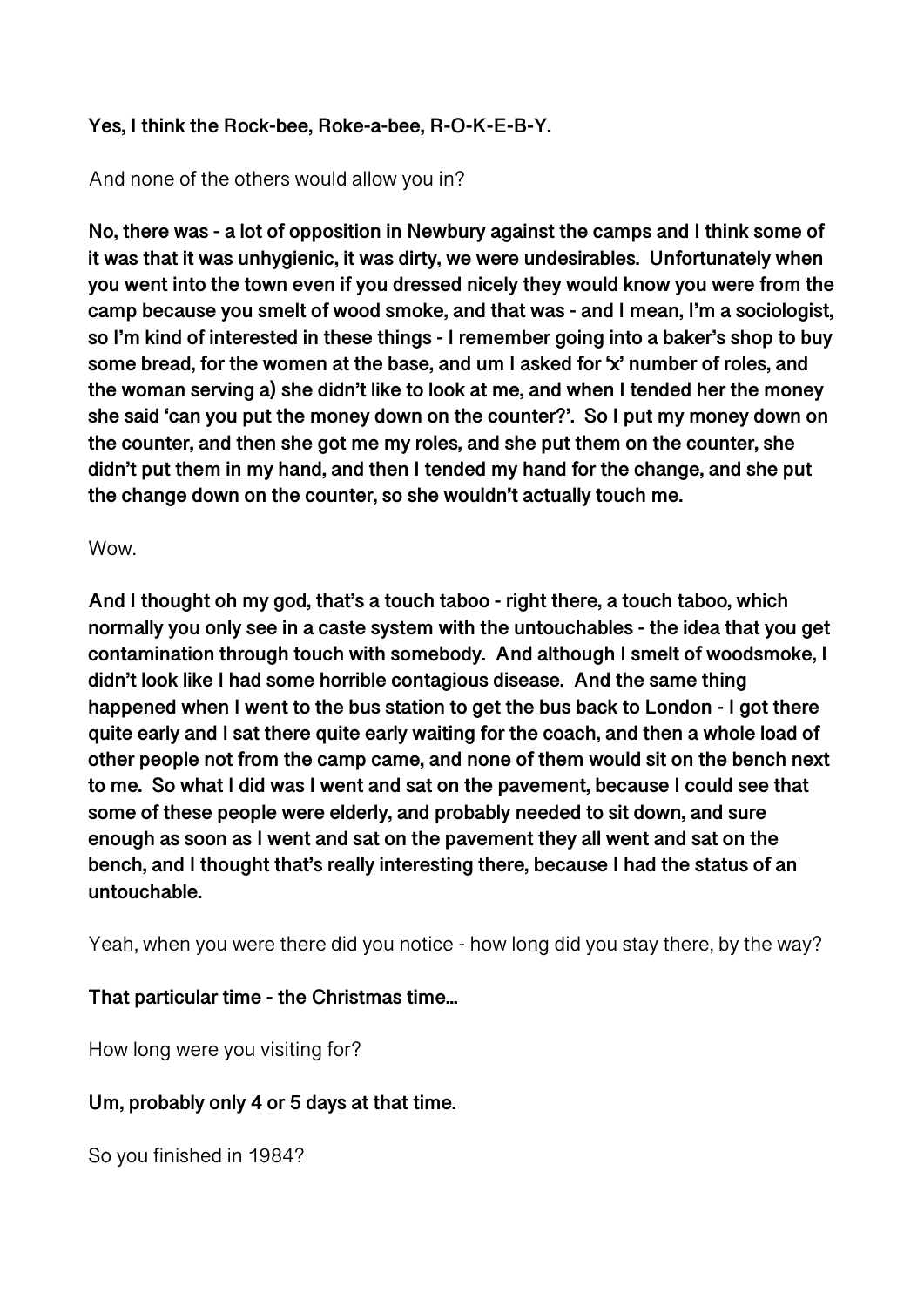## **Yes, I think the Rock-bee, Roke-a-bee, R-O-K-E-B-Y.**

## And none of the others would allow you in?

**No, there was - a lot of opposition in Newbury against the camps and I think some of it was that it was unhygienic, it was dirty, we were undesirables. Unfortunately when you went into the town even if you dressed nicely they would know you were from the camp because you smelt of wood smoke, and that was - and I mean, I'm a sociologist, so I'm kind of interested in these things - I remember going into a baker's shop to buy some bread, for the women at the base, and um I asked for 'x' number of roles, and the woman serving a) she didn't like to look at me, and when I tended her the money she said 'can you put the money down on the counter?'. So I put my money down on the counter, and then she got me my roles, and she put them on the counter, she didn't put them in my hand, and then I tended my hand for the change, and she put the change down on the counter, so she wouldn't actually touch me.** 

#### Wow.

**And I thought oh my god, that's a touch taboo - right there, a touch taboo, which normally you only see in a caste system with the untouchables - the idea that you get contamination through touch with somebody. And although I smelt of woodsmoke, I didn't look like I had some horrible contagious disease. And the same thing happened when I went to the bus station to get the bus back to London - I got there quite early and I sat there quite early waiting for the coach, and then a whole load of other people not from the camp came, and none of them would sit on the bench next to me. So what I did was I went and sat on the pavement, because I could see that some of these people were elderly, and probably needed to sit down, and sure enough as soon as I went and sat on the pavement they all went and sat on the bench, and I thought that's really interesting there, because I had the status of an untouchable.** 

Yeah, when you were there did you notice - how long did you stay there, by the way?

## **That particular time - the Christmas time...**

How long were you visiting for?

## **Um, probably only 4 or 5 days at that time.**

So you finished in 1984?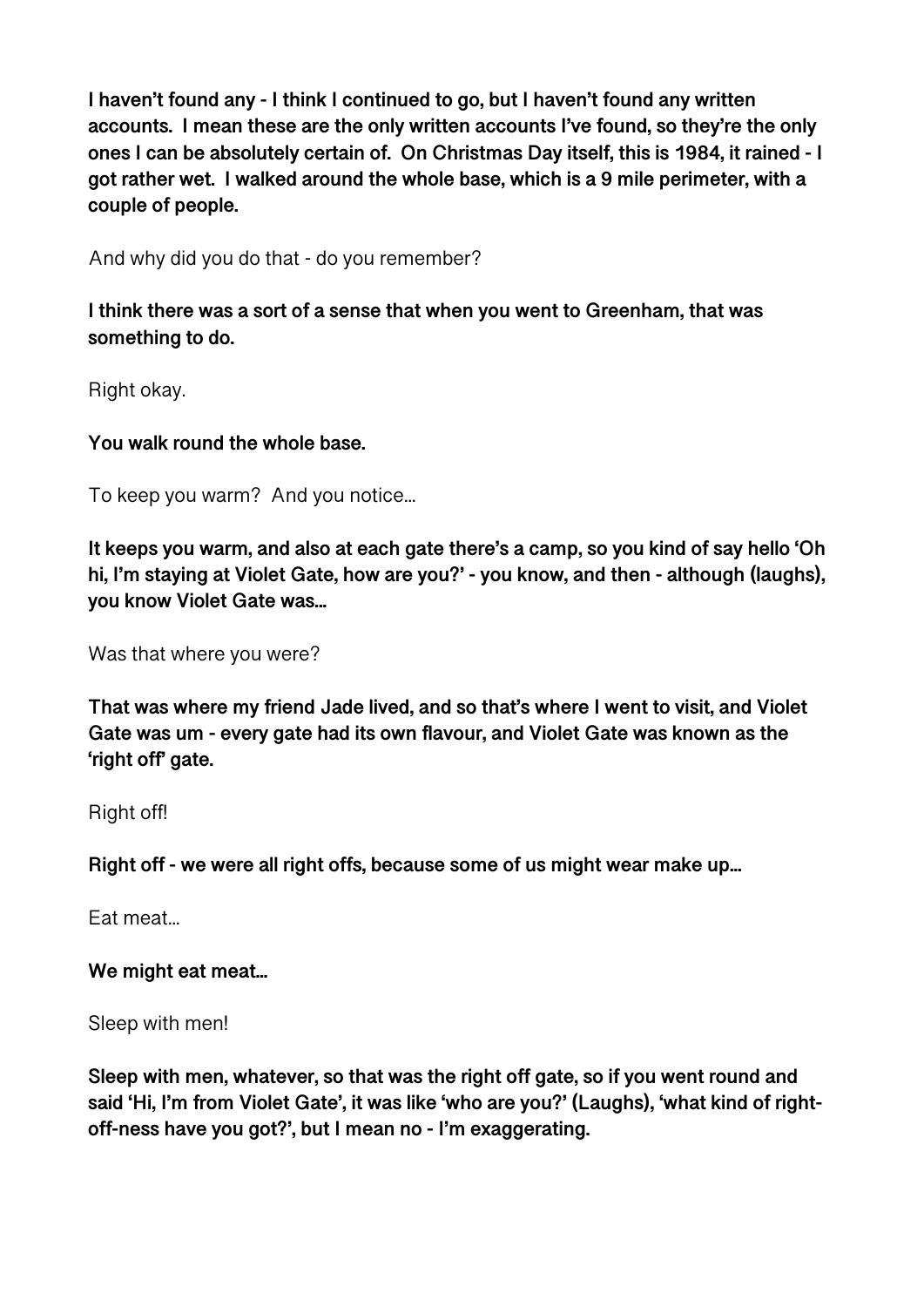**I haven't found any - I think I continued to go, but I haven't found any written accounts. I mean these are the only written accounts I've found, so they're the only ones I can be absolutely certain of. On Christmas Day itself, this is 1984, it rained - I got rather wet. I walked around the whole base, which is a 9 mile perimeter, with a couple of people.** 

And why did you do that - do you remember?

**I think there was a sort of a sense that when you went to Greenham, that was something to do.** 

Right okay.

**You walk round the whole base.** 

To keep you warm? And you notice...

**It keeps you warm, and also at each gate there's a camp, so you kind of say hello 'Oh hi, I'm staying at Violet Gate, how are you?' - you know, and then - although (laughs), you know Violet Gate was...** 

Was that where you were?

**That was where my friend Jade lived, and so that's where I went to visit, and Violet Gate was um - every gate had its own flavour, and Violet Gate was known as the 'right off' gate.** 

Right off!

**Right off - we were all right offs, because some of us might wear make up...** 

Eat meat...

**We might eat meat...** 

Sleep with men!

**Sleep with men, whatever, so that was the right off gate, so if you went round and said 'Hi, I'm from Violet Gate', it was like 'who are you?' (Laughs), 'what kind of rightoff-ness have you got?', but I mean no - I'm exaggerating.**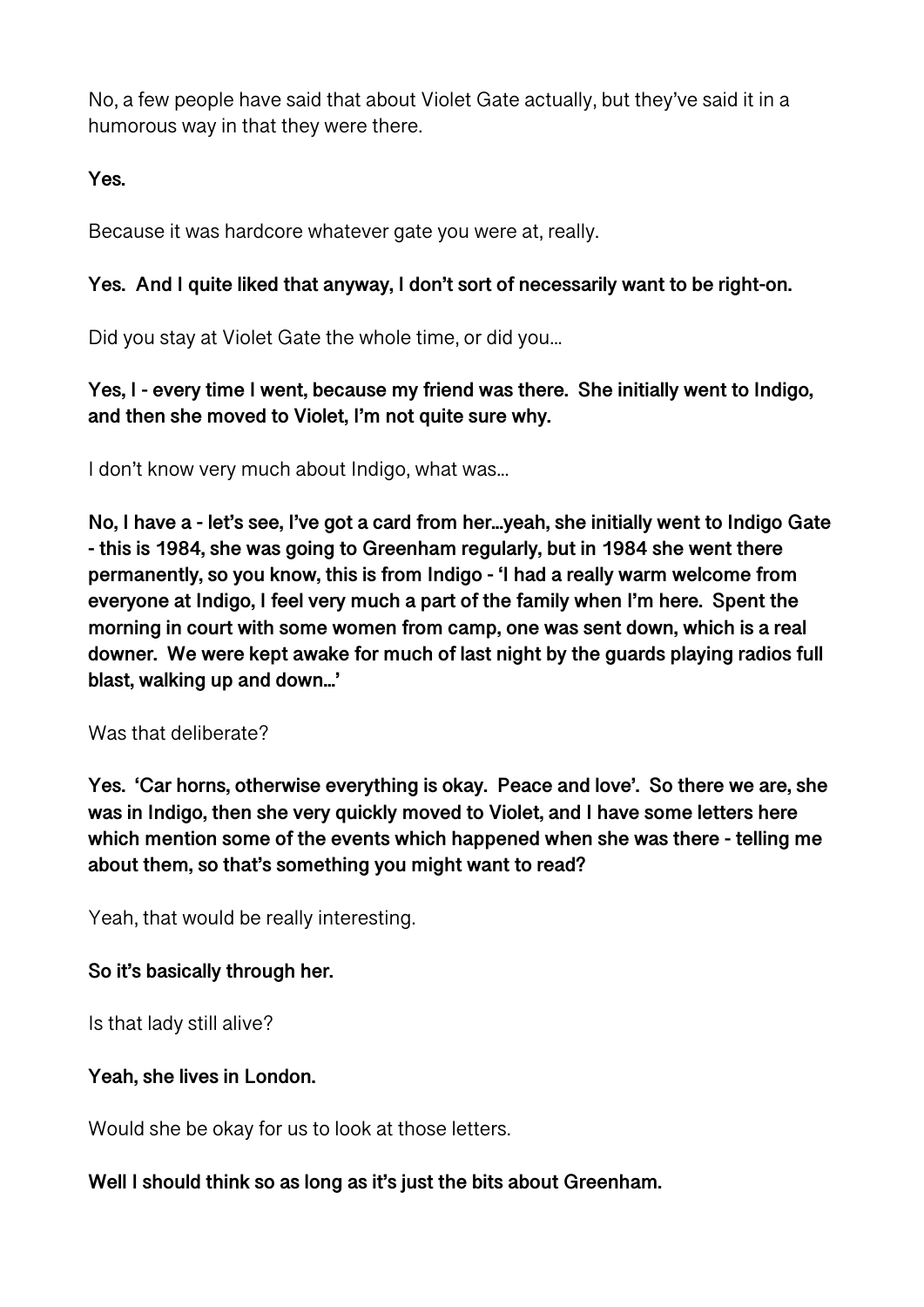No, a few people have said that about Violet Gate actually, but they've said it in a humorous way in that they were there.

**Yes.** 

Because it was hardcore whatever gate you were at, really.

# **Yes. And I quite liked that anyway, I don't sort of necessarily want to be right-on.**

Did you stay at Violet Gate the whole time, or did you...

**Yes, I - every time I went, because my friend was there. She initially went to Indigo, and then she moved to Violet, I'm not quite sure why.** 

I don't know very much about Indigo, what was...

**No, I have a - let's see, I've got a card from her...yeah, she initially went to Indigo Gate - this is 1984, she was going to Greenham regularly, but in 1984 she went there permanently, so you know, this is from Indigo - 'I had a really warm welcome from everyone at Indigo, I feel very much a part of the family when I'm here. Spent the morning in court with some women from camp, one was sent down, which is a real downer. We were kept awake for much of last night by the guards playing radios full blast, walking up and down...'** 

Was that deliberate?

**Yes. 'Car horns, otherwise everything is okay. Peace and love'. So there we are, she was in Indigo, then she very quickly moved to Violet, and I have some letters here which mention some of the events which happened when she was there - telling me about them, so that's something you might want to read?** 

Yeah, that would be really interesting.

# **So it's basically through her.**

Is that lady still alive?

# **Yeah, she lives in London.**

Would she be okay for us to look at those letters.

## **Well I should think so as long as it's just the bits about Greenham.**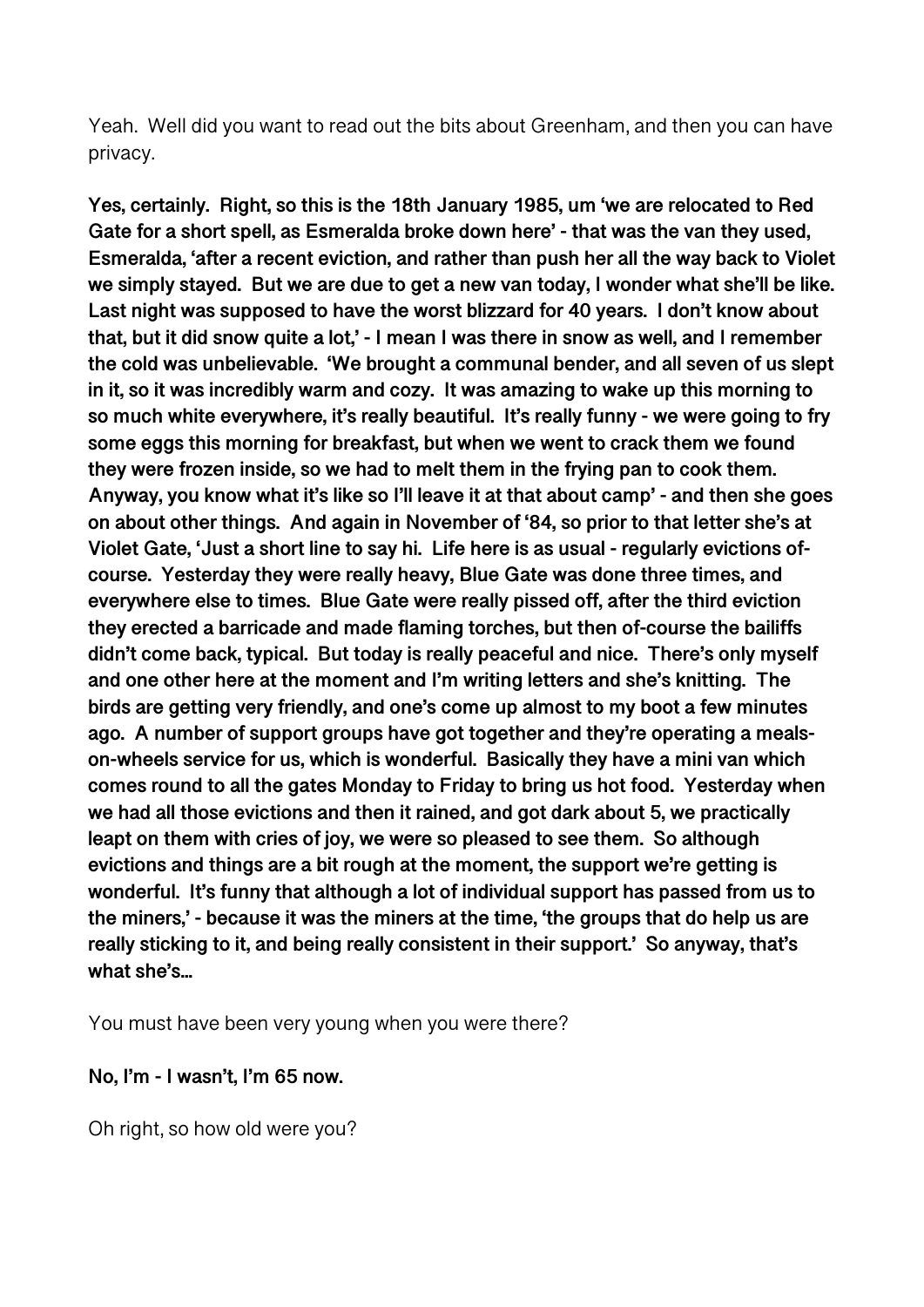Yeah. Well did you want to read out the bits about Greenham, and then you can have privacy.

**Yes, certainly. Right, so this is the 18th January 1985, um 'we are relocated to Red Gate for a short spell, as Esmeralda broke down here' - that was the van they used, Esmeralda, 'after a recent eviction, and rather than push her all the way back to Violet we simply stayed. But we are due to get a new van today, I wonder what she'll be like. Last night was supposed to have the worst blizzard for 40 years. I don't know about that, but it did snow quite a lot,' - I mean I was there in snow as well, and I remember the cold was unbelievable. 'We brought a communal bender, and all seven of us slept in it, so it was incredibly warm and cozy. It was amazing to wake up this morning to so much white everywhere, it's really beautiful. It's really funny - we were going to fry some eggs this morning for breakfast, but when we went to crack them we found they were frozen inside, so we had to melt them in the frying pan to cook them. Anyway, you know what it's like so I'll leave it at that about camp' - and then she goes on about other things. And again in November of '84, so prior to that letter she's at Violet Gate, 'Just a short line to say hi. Life here is as usual - regularly evictions ofcourse. Yesterday they were really heavy, Blue Gate was done three times, and everywhere else to times. Blue Gate were really pissed off, after the third eviction they erected a barricade and made flaming torches, but then of-course the bailiffs didn't come back, typical. But today is really peaceful and nice. There's only myself and one other here at the moment and I'm writing letters and she's knitting. The birds are getting very friendly, and one's come up almost to my boot a few minutes ago. A number of support groups have got together and they're operating a mealson-wheels service for us, which is wonderful. Basically they have a mini van which comes round to all the gates Monday to Friday to bring us hot food. Yesterday when we had all those evictions and then it rained, and got dark about 5, we practically leapt on them with cries of joy, we were so pleased to see them. So although evictions and things are a bit rough at the moment, the support we're getting is wonderful. It's funny that although a lot of individual support has passed from us to the miners,' - because it was the miners at the time, 'the groups that do help us are really sticking to it, and being really consistent in their support.' So anyway, that's what she's...** 

You must have been very young when you were there?

#### **No, I'm - I wasn't, I'm 65 now.**

Oh right, so how old were you?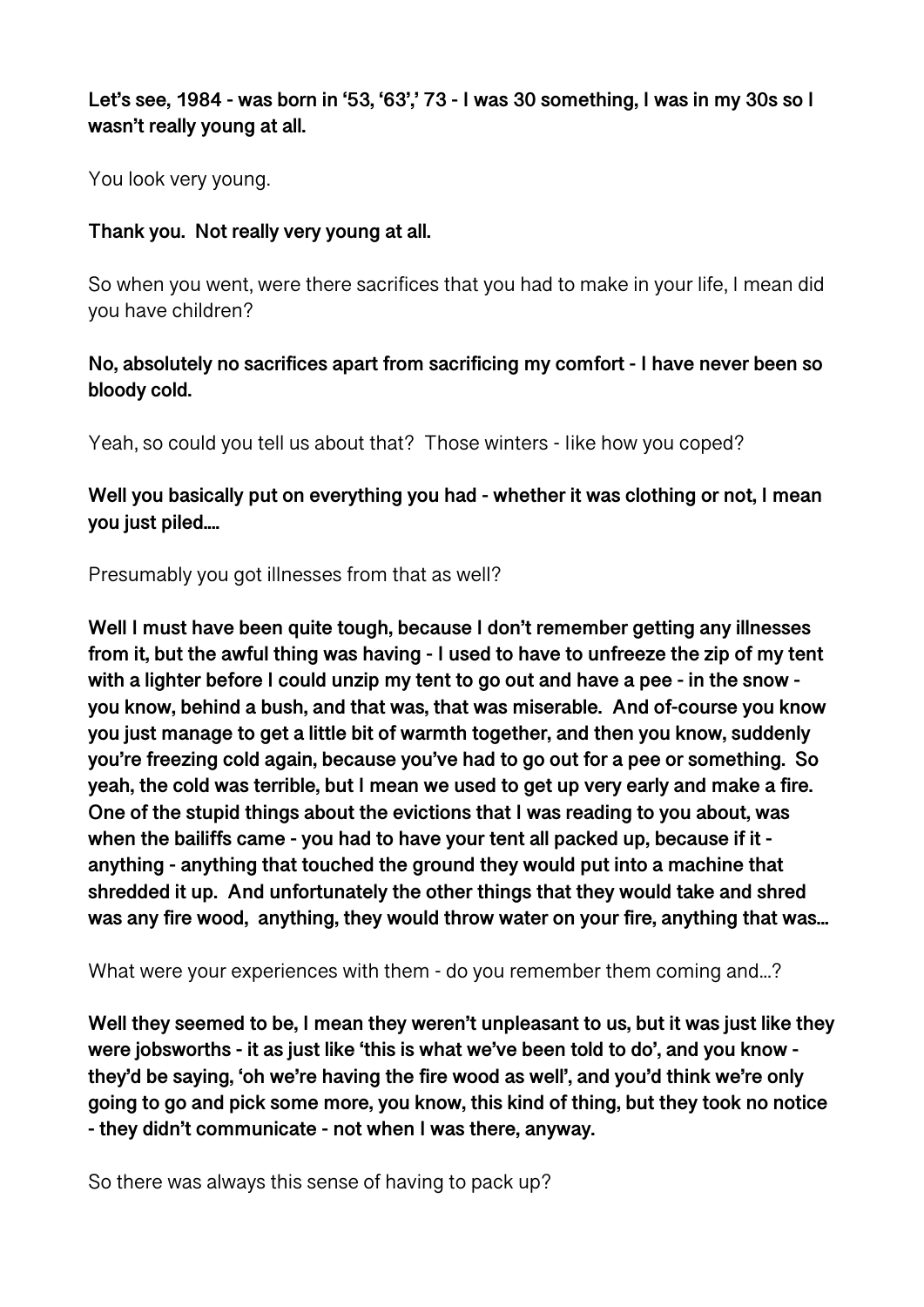## **Let's see, 1984 - was born in '53, '63',' 73 - I was 30 something, I was in my 30s so I wasn't really young at all.**

You look very young.

## **Thank you. Not really very young at all.**

So when you went, were there sacrifices that you had to make in your life, I mean did you have children?

## **No, absolutely no sacrifices apart from sacrificing my comfort - I have never been so bloody cold.**

Yeah, so could you tell us about that? Those winters - Iike how you coped?

**Well you basically put on everything you had - whether it was clothing or not, I mean you just piled....** 

Presumably you got illnesses from that as well?

**Well I must have been quite tough, because I don't remember getting any illnesses from it, but the awful thing was having - I used to have to unfreeze the zip of my tent with a lighter before I could unzip my tent to go out and have a pee - in the snow you know, behind a bush, and that was, that was miserable. And of-course you know you just manage to get a little bit of warmth together, and then you know, suddenly you're freezing cold again, because you've had to go out for a pee or something. So yeah, the cold was terrible, but I mean we used to get up very early and make a fire. One of the stupid things about the evictions that I was reading to you about, was when the bailiffs came - you had to have your tent all packed up, because if it anything - anything that touched the ground they would put into a machine that shredded it up. And unfortunately the other things that they would take and shred was any fire wood, anything, they would throw water on your fire, anything that was...** 

What were your experiences with them - do you remember them coming and...?

**Well they seemed to be, I mean they weren't unpleasant to us, but it was just like they were jobsworths - it as just like 'this is what we've been told to do', and you know they'd be saying, 'oh we're having the fire wood as well', and you'd think we're only going to go and pick some more, you know, this kind of thing, but they took no notice - they didn't communicate - not when I was there, anyway.** 

So there was always this sense of having to pack up?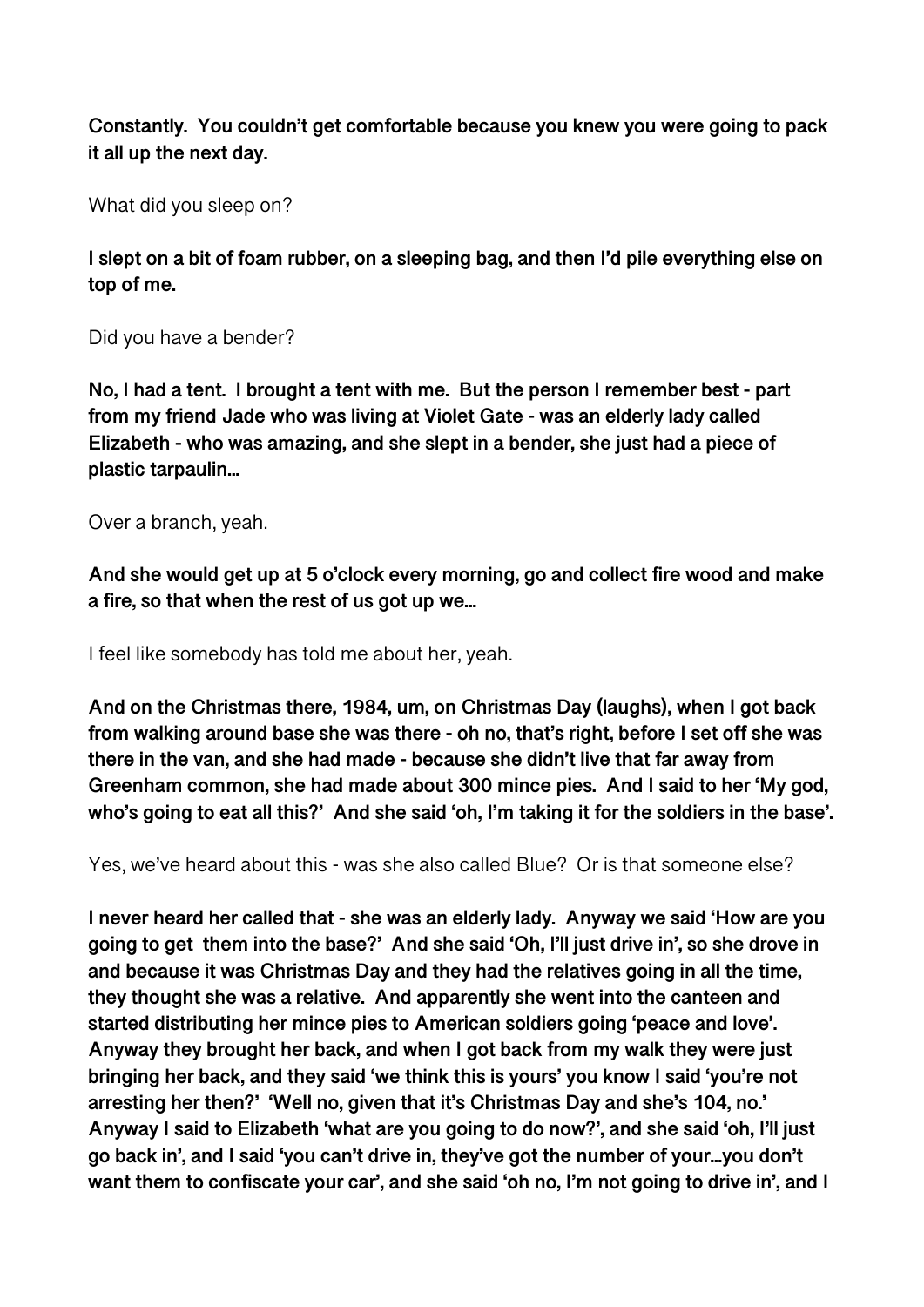**Constantly. You couldn't get comfortable because you knew you were going to pack it all up the next day.** 

What did you sleep on?

**I slept on a bit of foam rubber, on a sleeping bag, and then I'd pile everything else on top of me.** 

Did you have a bender?

**No, I had a tent. I brought a tent with me. But the person I remember best - part from my friend Jade who was living at Violet Gate - was an elderly lady called Elizabeth - who was amazing, and she slept in a bender, she just had a piece of plastic tarpaulin...** 

Over a branch, yeah.

**And she would get up at 5 o'clock every morning, go and collect fire wood and make a fire, so that when the rest of us got up we...** 

I feel like somebody has told me about her, yeah.

**And on the Christmas there, 1984, um, on Christmas Day (laughs), when I got back from walking around base she was there - oh no, that's right, before I set off she was there in the van, and she had made - because she didn't live that far away from Greenham common, she had made about 300 mince pies. And I said to her 'My god, who's going to eat all this?' And she said 'oh, I'm taking it for the soldiers in the base'.** 

Yes, we've heard about this - was she also called Blue? Or is that someone else?

**I never heard her called that - she was an elderly lady. Anyway we said 'How are you going to get them into the base?' And she said 'Oh, I'll just drive in', so she drove in and because it was Christmas Day and they had the relatives going in all the time, they thought she was a relative. And apparently she went into the canteen and started distributing her mince pies to American soldiers going 'peace and love'. Anyway they brought her back, and when I got back from my walk they were just bringing her back, and they said 'we think this is yours' you know I said 'you're not arresting her then?' 'Well no, given that it's Christmas Day and she's 104, no.' Anyway I said to Elizabeth 'what are you going to do now?', and she said 'oh, I'll just go back in', and I said 'you can't drive in, they've got the number of your...you don't want them to confiscate your car', and she said 'oh no, I'm not going to drive in', and I**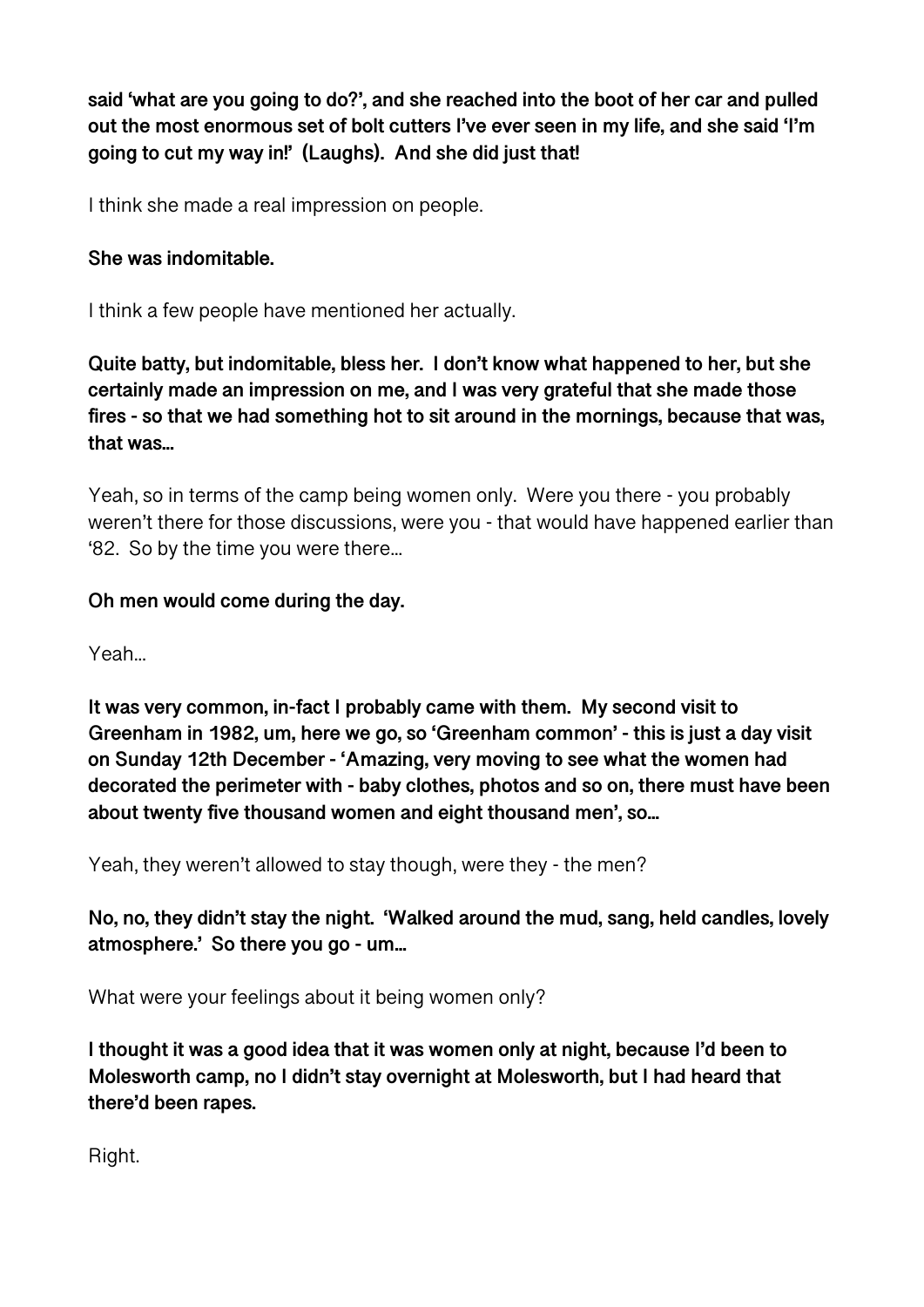**said 'what are you going to do?', and she reached into the boot of her car and pulled out the most enormous set of bolt cutters I've ever seen in my life, and she said 'I'm going to cut my way in!' (Laughs). And she did just that!** 

I think she made a real impression on people.

## **She was indomitable.**

I think a few people have mentioned her actually.

**Quite batty, but indomitable, bless her. I don't know what happened to her, but she certainly made an impression on me, and I was very grateful that she made those fires - so that we had something hot to sit around in the mornings, because that was, that was...** 

Yeah, so in terms of the camp being women only. Were you there - you probably weren't there for those discussions, were you - that would have happened earlier than '82. So by the time you were there...

## **Oh men would come during the day.**

Yeah...

**It was very common, in-fact I probably came with them. My second visit to Greenham in 1982, um, here we go, so 'Greenham common' - this is just a day visit on Sunday 12th December - 'Amazing, very moving to see what the women had decorated the perimeter with - baby clothes, photos and so on, there must have been about twenty five thousand women and eight thousand men', so...** 

Yeah, they weren't allowed to stay though, were they - the men?

**No, no, they didn't stay the night. 'Walked around the mud, sang, held candles, lovely atmosphere.' So there you go - um...** 

What were your feelings about it being women only?

**I thought it was a good idea that it was women only at night, because I'd been to Molesworth camp, no I didn't stay overnight at Molesworth, but I had heard that there'd been rapes.** 

Right.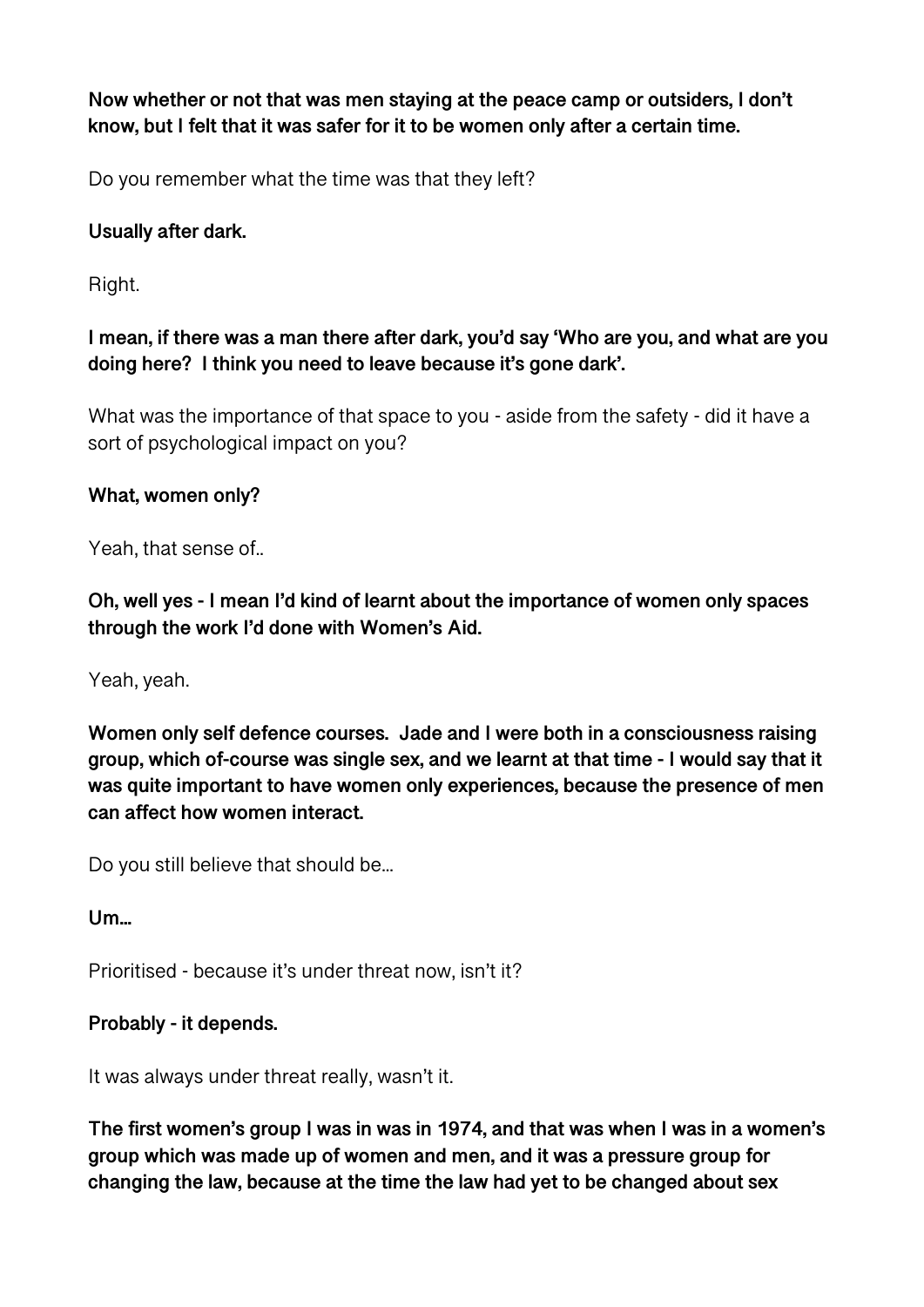**Now whether or not that was men staying at the peace camp or outsiders, I don't know, but I felt that it was safer for it to be women only after a certain time.** 

Do you remember what the time was that they left?

# **Usually after dark.**

Right.

**I mean, if there was a man there after dark, you'd say 'Who are you, and what are you doing here? I think you need to leave because it's gone dark'.** 

What was the importance of that space to you - aside from the safety - did it have a sort of psychological impact on you?

# **What, women only?**

Yeah, that sense of..

**Oh, well yes - I mean I'd kind of learnt about the importance of women only spaces through the work I'd done with Women's Aid.** 

Yeah, yeah.

**Women only self defence courses. Jade and I were both in a consciousness raising group, which of-course was single sex, and we learnt at that time - I would say that it was quite important to have women only experiences, because the presence of men can affect how women interact.** 

Do you still believe that should be...

**Um...** 

Prioritised - because it's under threat now, isn't it?

# **Probably - it depends.**

It was always under threat really, wasn't it.

**The first women's group I was in was in 1974, and that was when I was in a women's group which was made up of women and men, and it was a pressure group for changing the law, because at the time the law had yet to be changed about sex**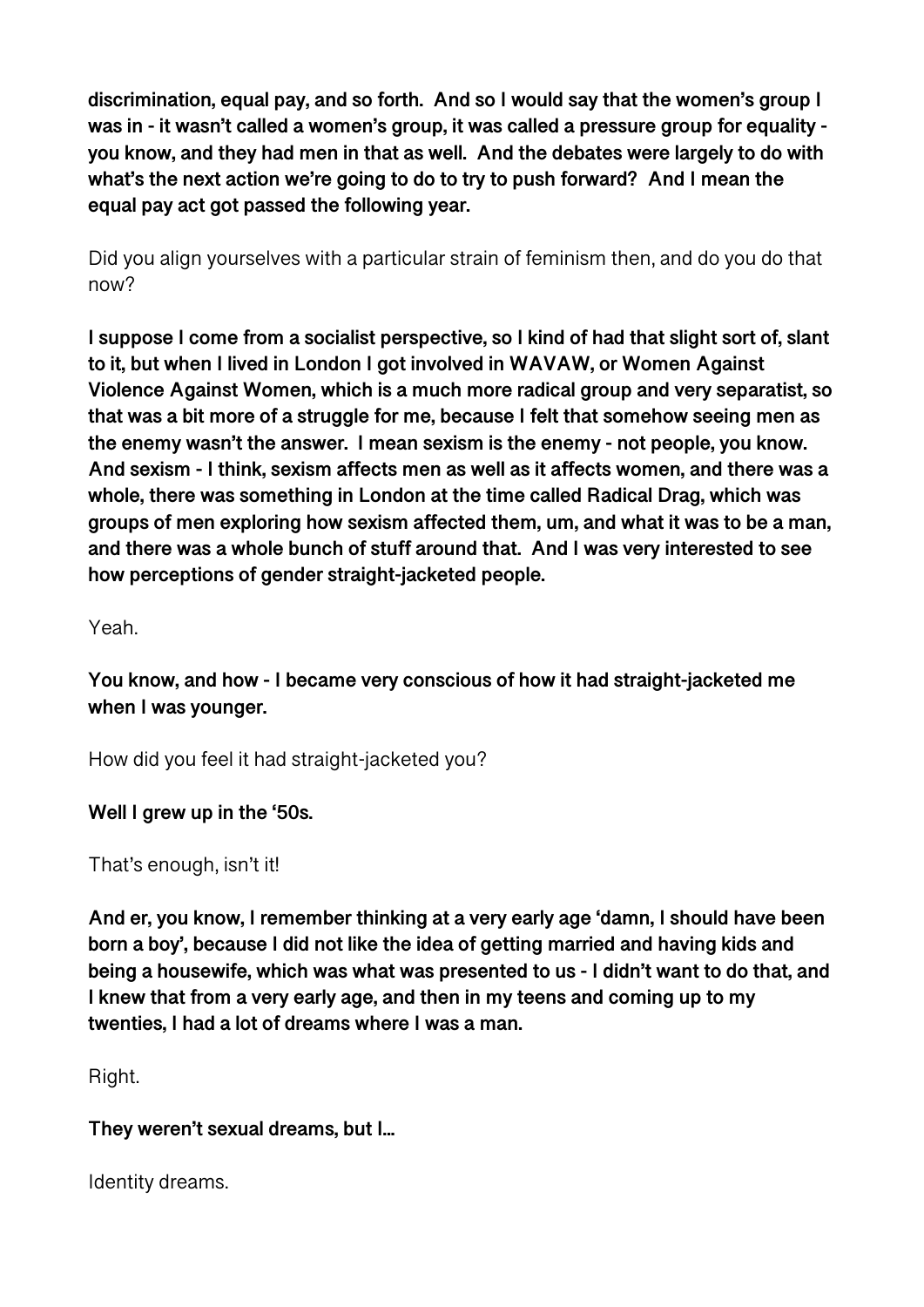**discrimination, equal pay, and so forth. And so I would say that the women's group I was in - it wasn't called a women's group, it was called a pressure group for equality you know, and they had men in that as well. And the debates were largely to do with what's the next action we're going to do to try to push forward? And I mean the equal pay act got passed the following year.** 

Did you align yourselves with a particular strain of feminism then, and do you do that now<sub>2</sub>

**I suppose I come from a socialist perspective, so I kind of had that slight sort of, slant to it, but when I lived in London I got involved in WAVAW, or Women Against Violence Against Women, which is a much more radical group and very separatist, so that was a bit more of a struggle for me, because I felt that somehow seeing men as the enemy wasn't the answer. I mean sexism is the enemy - not people, you know. And sexism - I think, sexism affects men as well as it affects women, and there was a whole, there was something in London at the time called Radical Drag, which was groups of men exploring how sexism affected them, um, and what it was to be a man, and there was a whole bunch of stuff around that. And I was very interested to see how perceptions of gender straight-jacketed people.** 

Yeah.

**You know, and how - I became very conscious of how it had straight-jacketed me when I was younger.** 

How did you feel it had straight-jacketed you?

**Well I grew up in the '50s.** 

That's enough, isn't it!

**And er, you know, I remember thinking at a very early age 'damn, I should have been born a boy', because I did not like the idea of getting married and having kids and being a housewife, which was what was presented to us - I didn't want to do that, and I knew that from a very early age, and then in my teens and coming up to my twenties, I had a lot of dreams where I was a man.** 

Right.

## **They weren't sexual dreams, but I...**

Identity dreams.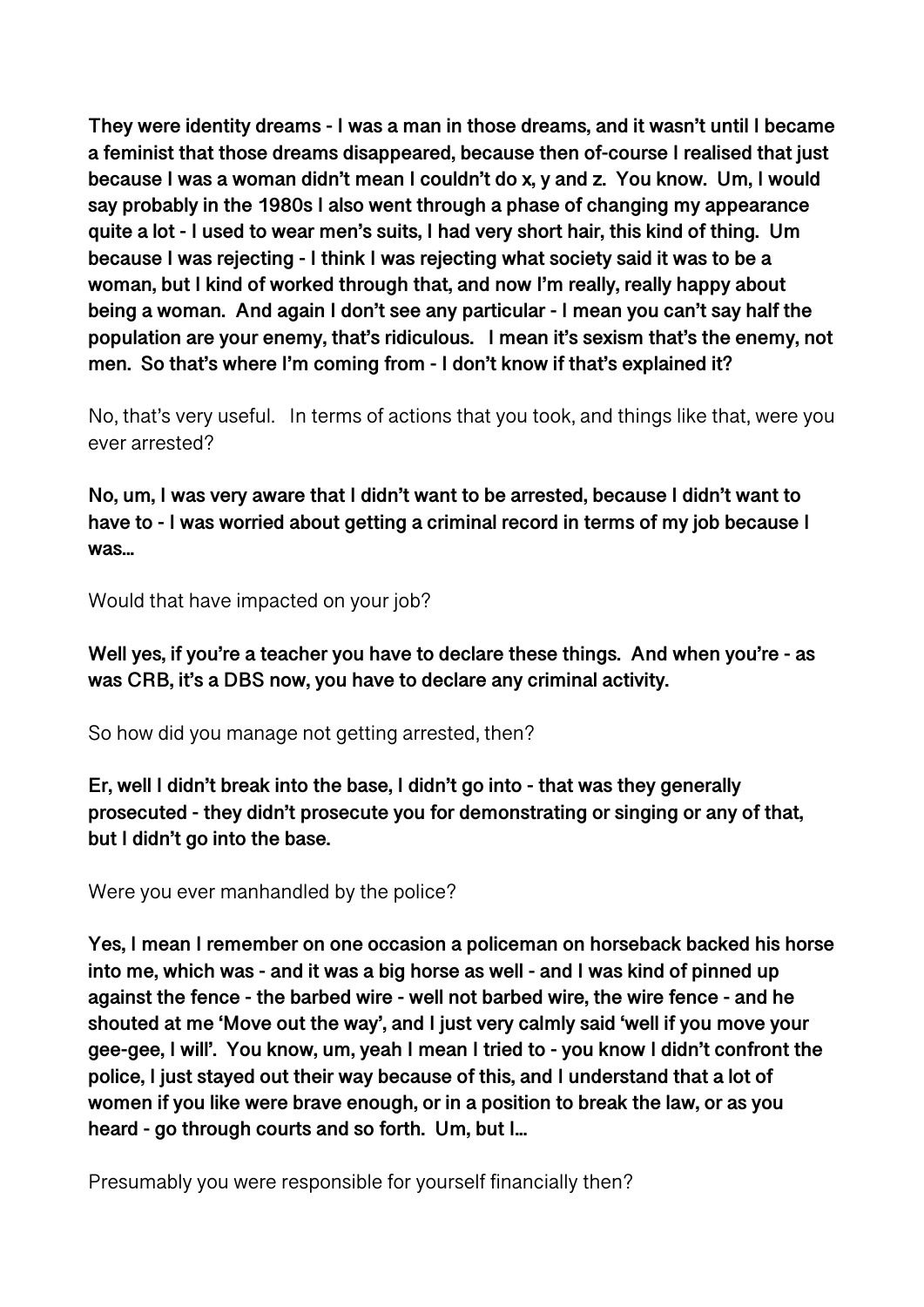**They were identity dreams - I was a man in those dreams, and it wasn't until I became a feminist that those dreams disappeared, because then of-course I realised that just because I was a woman didn't mean I couldn't do x, y and z. You know. Um, I would say probably in the 1980s I also went through a phase of changing my appearance quite a lot - I used to wear men's suits, I had very short hair, this kind of thing. Um because I was rejecting - I think I was rejecting what society said it was to be a woman, but I kind of worked through that, and now I'm really, really happy about being a woman. And again I don't see any particular - I mean you can't say half the population are your enemy, that's ridiculous. I mean it's sexism that's the enemy, not men. So that's where I'm coming from - I don't know if that's explained it?** 

No, that's very useful. In terms of actions that you took, and things like that, were you ever arrested?

**No, um, I was very aware that I didn't want to be arrested, because I didn't want to have to - I was worried about getting a criminal record in terms of my job because I was...** 

Would that have impacted on your job?

**Well yes, if you're a teacher you have to declare these things. And when you're - as was CRB, it's a DBS now, you have to declare any criminal activity.** 

So how did you manage not getting arrested, then?

**Er, well I didn't break into the base, I didn't go into - that was they generally prosecuted - they didn't prosecute you for demonstrating or singing or any of that, but I didn't go into the base.** 

Were you ever manhandled by the police?

**Yes, I mean I remember on one occasion a policeman on horseback backed his horse into me, which was - and it was a big horse as well - and I was kind of pinned up against the fence - the barbed wire - well not barbed wire, the wire fence - and he shouted at me 'Move out the way', and I just very calmly said 'well if you move your gee-gee, I will'. You know, um, yeah I mean I tried to - you know I didn't confront the police, I just stayed out their way because of this, and I understand that a lot of women if you like were brave enough, or in a position to break the law, or as you heard - go through courts and so forth. Um, but I...** 

Presumably you were responsible for yourself financially then?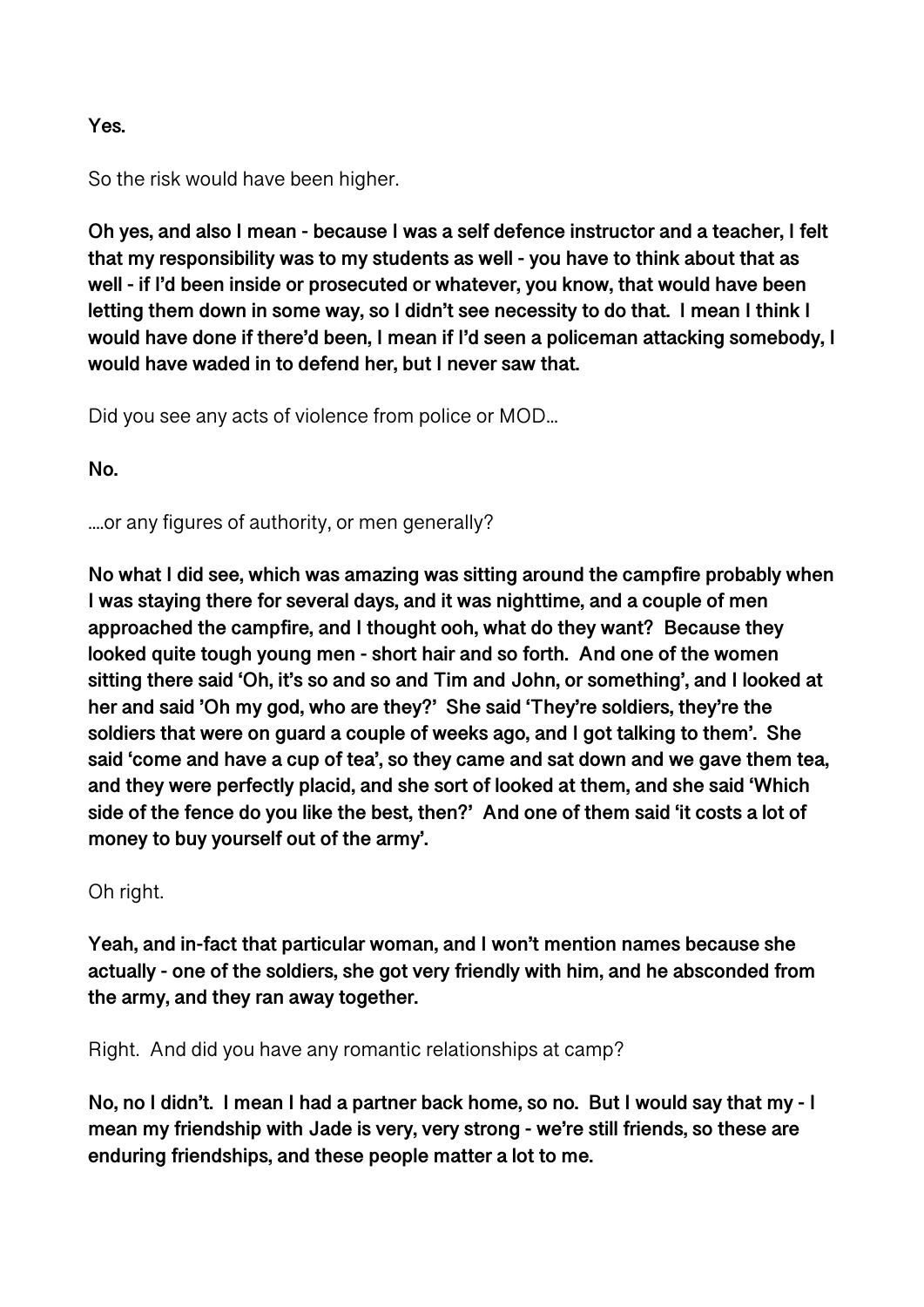#### **Yes.**

So the risk would have been higher.

**Oh yes, and also I mean - because I was a self defence instructor and a teacher, I felt that my responsibility was to my students as well - you have to think about that as well - if I'd been inside or prosecuted or whatever, you know, that would have been letting them down in some way, so I didn't see necessity to do that. I mean I think I would have done if there'd been, I mean if I'd seen a policeman attacking somebody, I would have waded in to defend her, but I never saw that.** 

Did you see any acts of violence from police or MOD...

**No.** 

....or any figures of authority, or men generally?

**No what I did see, which was amazing was sitting around the campfire probably when I was staying there for several days, and it was nighttime, and a couple of men approached the campfire, and I thought ooh, what do they want? Because they looked quite tough young men - short hair and so forth. And one of the women sitting there said 'Oh, it's so and so and Tim and John, or something', and I looked at her and said 'Oh my god, who are they?' She said 'They're soldiers, they're the soldiers that were on guard a couple of weeks ago, and I got talking to them'. She said 'come and have a cup of tea', so they came and sat down and we gave them tea, and they were perfectly placid, and she sort of looked at them, and she said 'Which side of the fence do you like the best, then?' And one of them said 'it costs a lot of money to buy yourself out of the army'.** 

## Oh right.

**Yeah, and in-fact that particular woman, and I won't mention names because she actually - one of the soldiers, she got very friendly with him, and he absconded from the army, and they ran away together.** 

Right. And did you have any romantic relationships at camp?

**No, no I didn't. I mean I had a partner back home, so no. But I would say that my - I mean my friendship with Jade is very, very strong - we're still friends, so these are enduring friendships, and these people matter a lot to me.**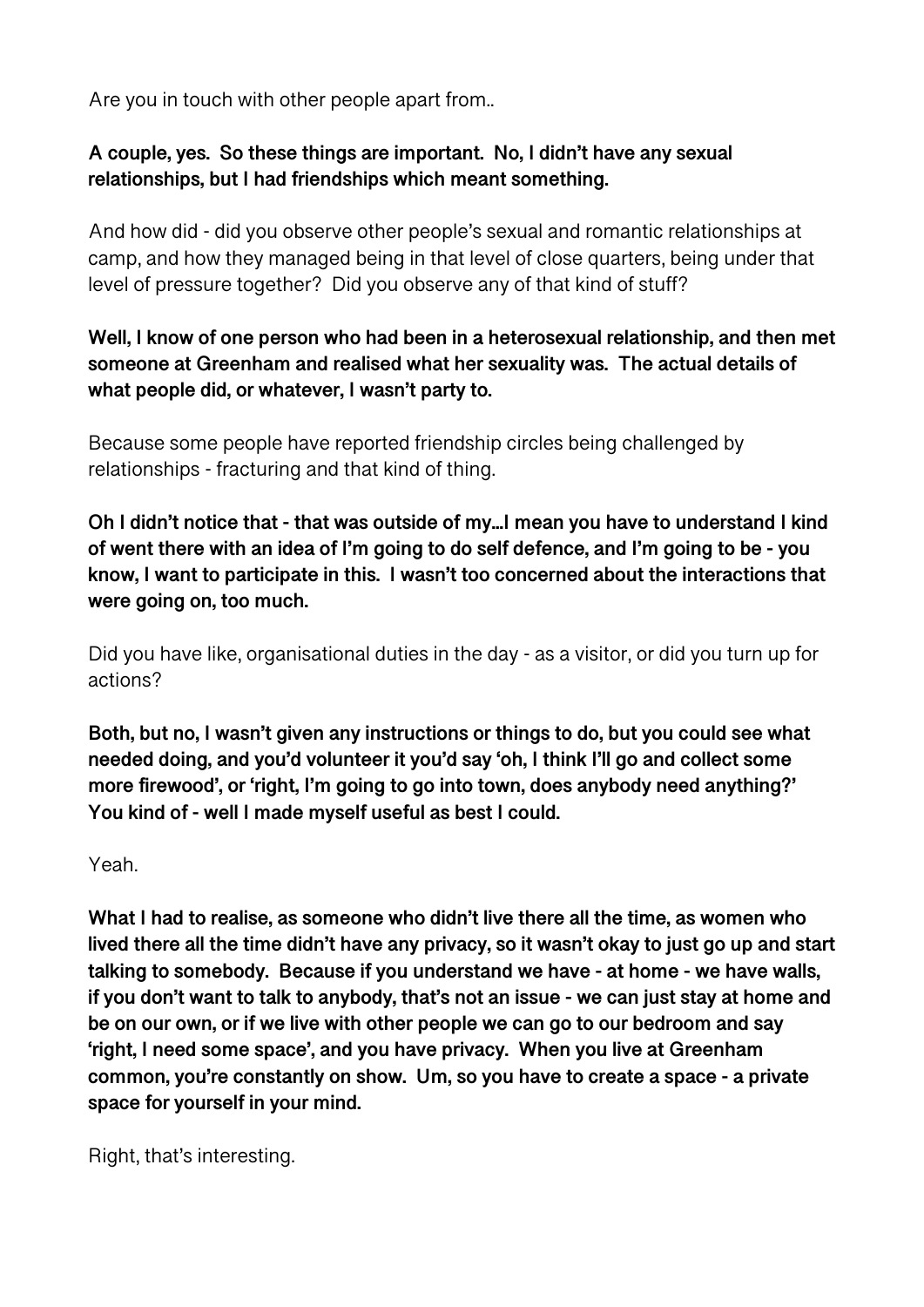Are you in touch with other people apart from..

# **A couple, yes. So these things are important. No, I didn't have any sexual relationships, but I had friendships which meant something.**

And how did - did you observe other people's sexual and romantic relationships at camp, and how they managed being in that level of close quarters, being under that level of pressure together? Did you observe any of that kind of stuff?

# **Well, I know of one person who had been in a heterosexual relationship, and then met someone at Greenham and realised what her sexuality was. The actual details of what people did, or whatever, I wasn't party to.**

Because some people have reported friendship circles being challenged by relationships - fracturing and that kind of thing.

**Oh I didn't notice that - that was outside of my...I mean you have to understand I kind of went there with an idea of I'm going to do self defence, and I'm going to be - you know, I want to participate in this. I wasn't too concerned about the interactions that were going on, too much.** 

Did you have like, organisational duties in the day - as a visitor, or did you turn up for actions?

**Both, but no, I wasn't given any instructions or things to do, but you could see what needed doing, and you'd volunteer it you'd say 'oh, I think I'll go and collect some more firewood', or 'right, I'm going to go into town, does anybody need anything?' You kind of - well I made myself useful as best I could.** 

Yeah.

**What I had to realise, as someone who didn't live there all the time, as women who lived there all the time didn't have any privacy, so it wasn't okay to just go up and start talking to somebody. Because if you understand we have - at home - we have walls, if you don't want to talk to anybody, that's not an issue - we can just stay at home and be on our own, or if we live with other people we can go to our bedroom and say 'right, I need some space', and you have privacy. When you live at Greenham common, you're constantly on show. Um, so you have to create a space - a private space for yourself in your mind.** 

Right, that's interesting.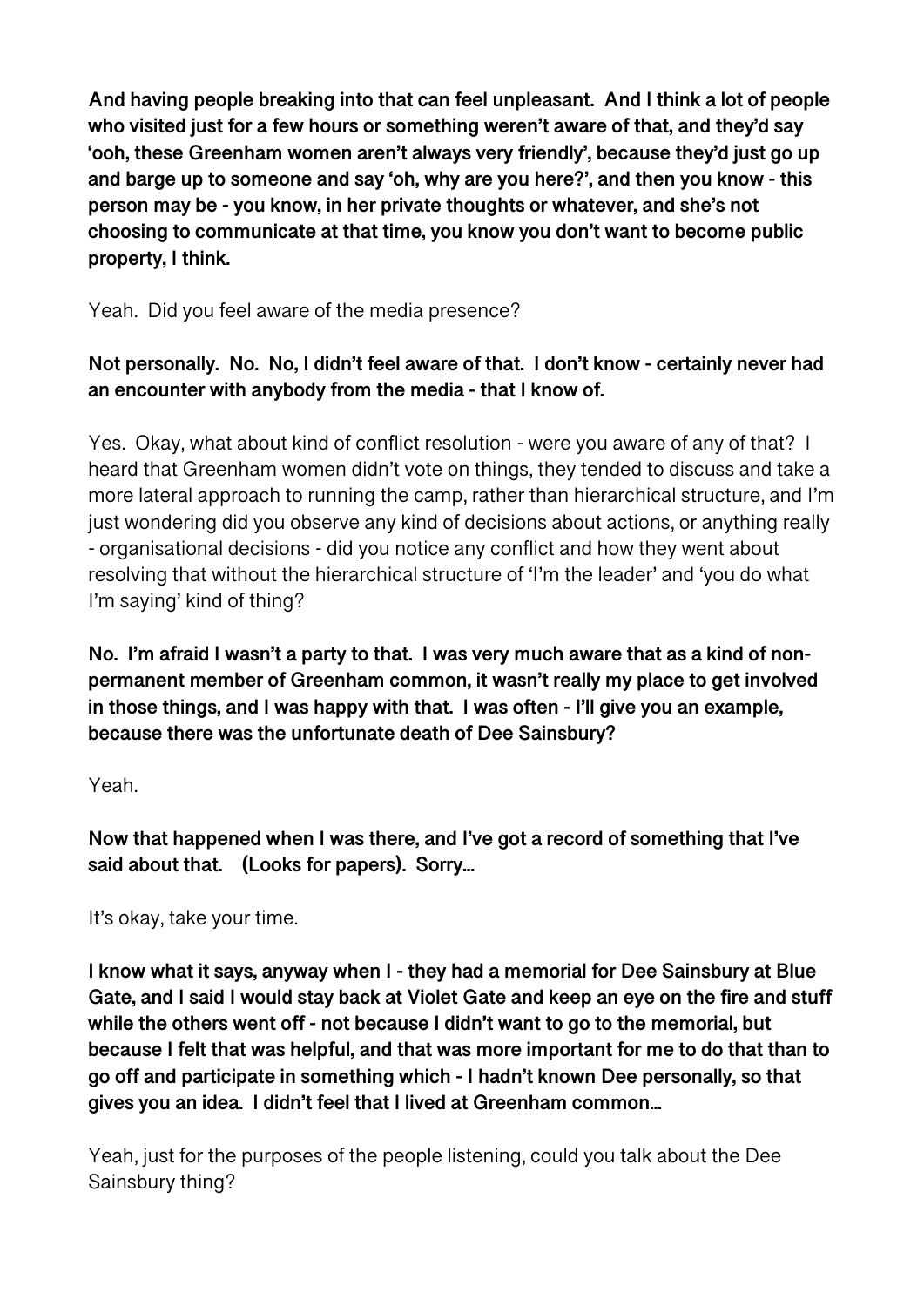**And having people breaking into that can feel unpleasant. And I think a lot of people who visited just for a few hours or something weren't aware of that, and they'd say 'ooh, these Greenham women aren't always very friendly', because they'd just go up and barge up to someone and say 'oh, why are you here?', and then you know - this person may be - you know, in her private thoughts or whatever, and she's not choosing to communicate at that time, you know you don't want to become public property, I think.** 

Yeah. Did you feel aware of the media presence?

# **Not personally. No. No, I didn't feel aware of that. I don't know - certainly never had an encounter with anybody from the media - that I know of.**

Yes. Okay, what about kind of conflict resolution - were you aware of any of that? I heard that Greenham women didn't vote on things, they tended to discuss and take a more lateral approach to running the camp, rather than hierarchical structure, and I'm just wondering did you observe any kind of decisions about actions, or anything really - organisational decisions - did you notice any conflict and how they went about resolving that without the hierarchical structure of 'I'm the leader' and 'you do what I'm saying' kind of thing?

**No. I'm afraid I wasn't a party to that. I was very much aware that as a kind of nonpermanent member of Greenham common, it wasn't really my place to get involved in those things, and I was happy with that. I was often - I'll give you an example, because there was the unfortunate death of Dee Sainsbury?** 

## Yeah.

**Now that happened when I was there, and I've got a record of something that I've said about that. (Looks for papers). Sorry...** 

It's okay, take your time.

**I know what it says, anyway when I - they had a memorial for Dee Sainsbury at Blue Gate, and I said I would stay back at Violet Gate and keep an eye on the fire and stuff while the others went off - not because I didn't want to go to the memorial, but because I felt that was helpful, and that was more important for me to do that than to go off and participate in something which - I hadn't known Dee personally, so that gives you an idea. I didn't feel that I lived at Greenham common...** 

Yeah, just for the purposes of the people listening, could you talk about the Dee Sainsbury thing?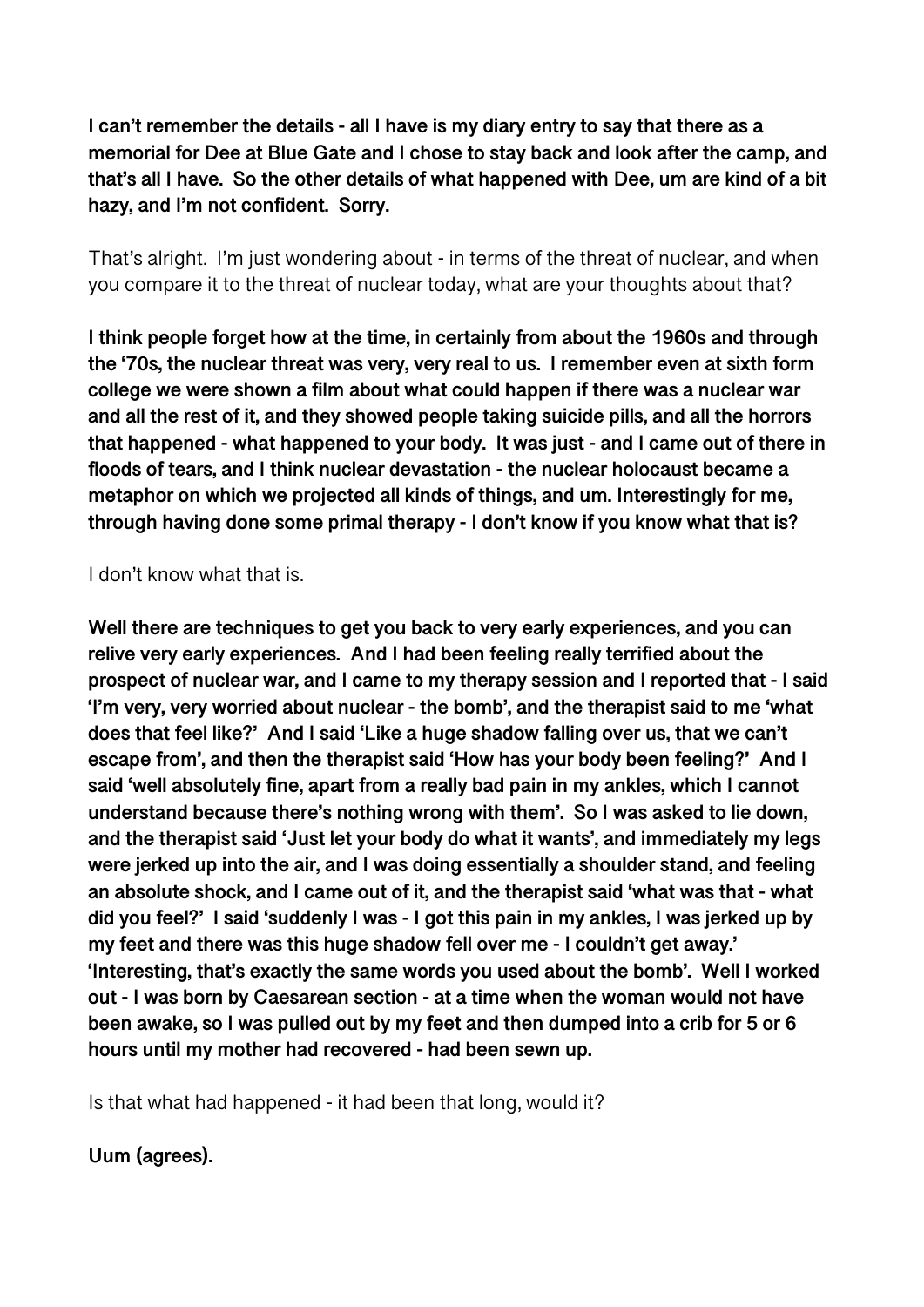**I can't remember the details - all I have is my diary entry to say that there as a memorial for Dee at Blue Gate and I chose to stay back and look after the camp, and that's all I have. So the other details of what happened with Dee, um are kind of a bit hazy, and I'm not confident. Sorry.** 

That's alright. I'm just wondering about - in terms of the threat of nuclear, and when you compare it to the threat of nuclear today, what are your thoughts about that?

**I think people forget how at the time, in certainly from about the 1960s and through the '70s, the nuclear threat was very, very real to us. I remember even at sixth form college we were shown a film about what could happen if there was a nuclear war and all the rest of it, and they showed people taking suicide pills, and all the horrors that happened - what happened to your body. It was just - and I came out of there in floods of tears, and I think nuclear devastation - the nuclear holocaust became a metaphor on which we projected all kinds of things, and um. Interestingly for me, through having done some primal therapy - I don't know if you know what that is?** 

I don't know what that is.

**Well there are techniques to get you back to very early experiences, and you can relive very early experiences. And I had been feeling really terrified about the prospect of nuclear war, and I came to my therapy session and I reported that - I said 'I'm very, very worried about nuclear - the bomb', and the therapist said to me 'what does that feel like?' And I said 'Like a huge shadow falling over us, that we can't escape from', and then the therapist said 'How has your body been feeling?' And I said 'well absolutely fine, apart from a really bad pain in my ankles, which I cannot understand because there's nothing wrong with them'. So I was asked to lie down, and the therapist said 'Just let your body do what it wants', and immediately my legs were jerked up into the air, and I was doing essentially a shoulder stand, and feeling an absolute shock, and I came out of it, and the therapist said 'what was that - what did you feel?' I said 'suddenly I was - I got this pain in my ankles, I was jerked up by my feet and there was this huge shadow fell over me - I couldn't get away.' 'Interesting, that's exactly the same words you used about the bomb'. Well I worked out - I was born by Caesarean section - at a time when the woman would not have been awake, so I was pulled out by my feet and then dumped into a crib for 5 or 6 hours until my mother had recovered - had been sewn up.** 

Is that what had happened - it had been that long, would it?

**Uum (agrees).**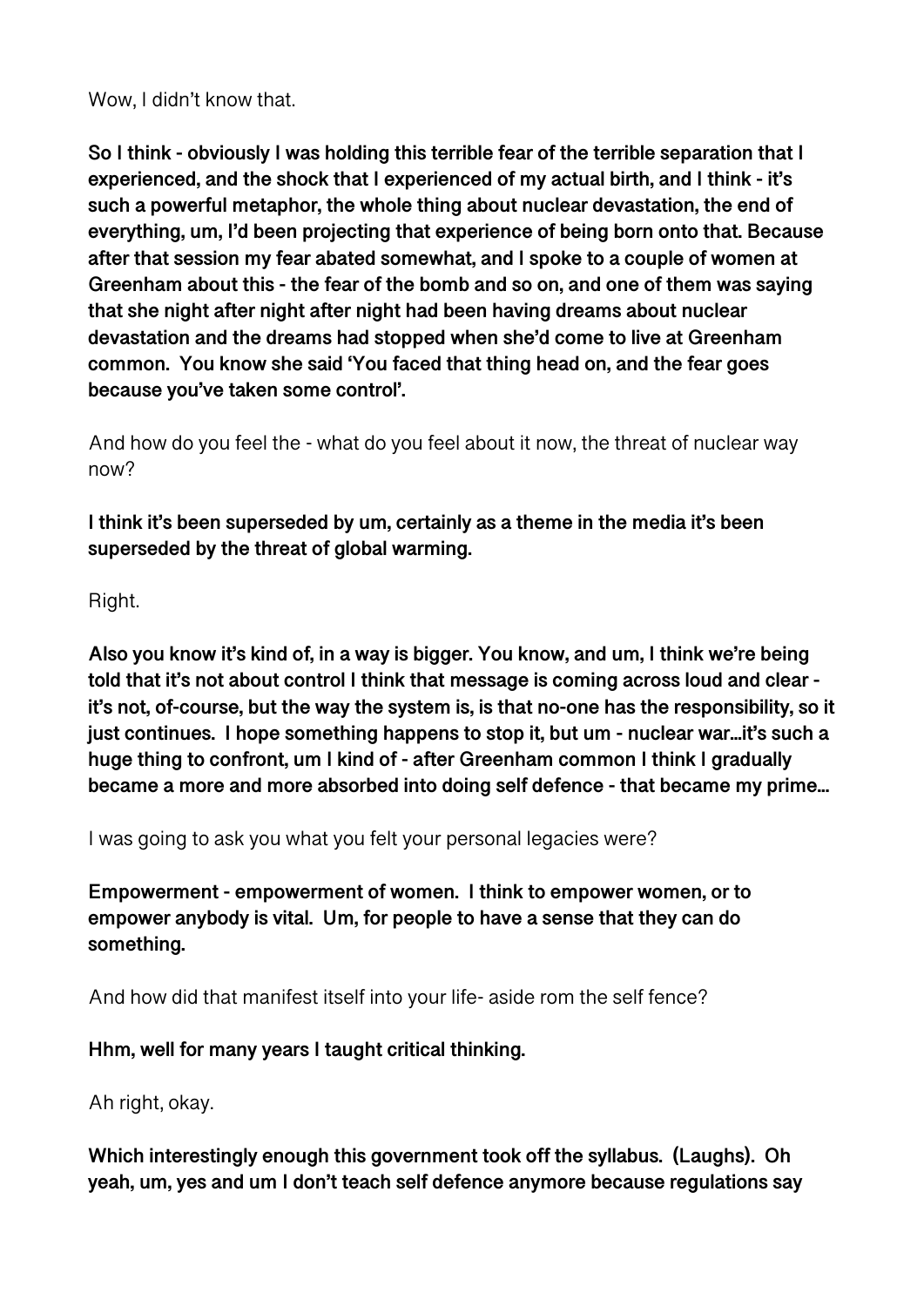Wow, I didn't know that.

**So I think - obviously I was holding this terrible fear of the terrible separation that I experienced, and the shock that I experienced of my actual birth, and I think - it's such a powerful metaphor, the whole thing about nuclear devastation, the end of everything, um, I'd been projecting that experience of being born onto that. Because after that session my fear abated somewhat, and I spoke to a couple of women at Greenham about this - the fear of the bomb and so on, and one of them was saying that she night after night after night had been having dreams about nuclear devastation and the dreams had stopped when she'd come to live at Greenham common. You know she said 'You faced that thing head on, and the fear goes because you've taken some control'.** 

And how do you feel the - what do you feel about it now, the threat of nuclear way now?

**I think it's been superseded by um, certainly as a theme in the media it's been superseded by the threat of global warming.** 

Right.

**Also you know it's kind of, in a way is bigger. You know, and um, I think we're being told that it's not about control I think that message is coming across loud and clear it's not, of-course, but the way the system is, is that no-one has the responsibility, so it just continues. I hope something happens to stop it, but um - nuclear war...it's such a huge thing to confront, um I kind of - after Greenham common I think I gradually became a more and more absorbed into doing self defence - that became my prime...** 

I was going to ask you what you felt your personal legacies were?

**Empowerment - empowerment of women. I think to empower women, or to empower anybody is vital. Um, for people to have a sense that they can do something.** 

And how did that manifest itself into your life- aside rom the self fence?

**Hhm, well for many years I taught critical thinking.** 

Ah right, okay.

**Which interestingly enough this government took off the syllabus. (Laughs). Oh yeah, um, yes and um I don't teach self defence anymore because regulations say**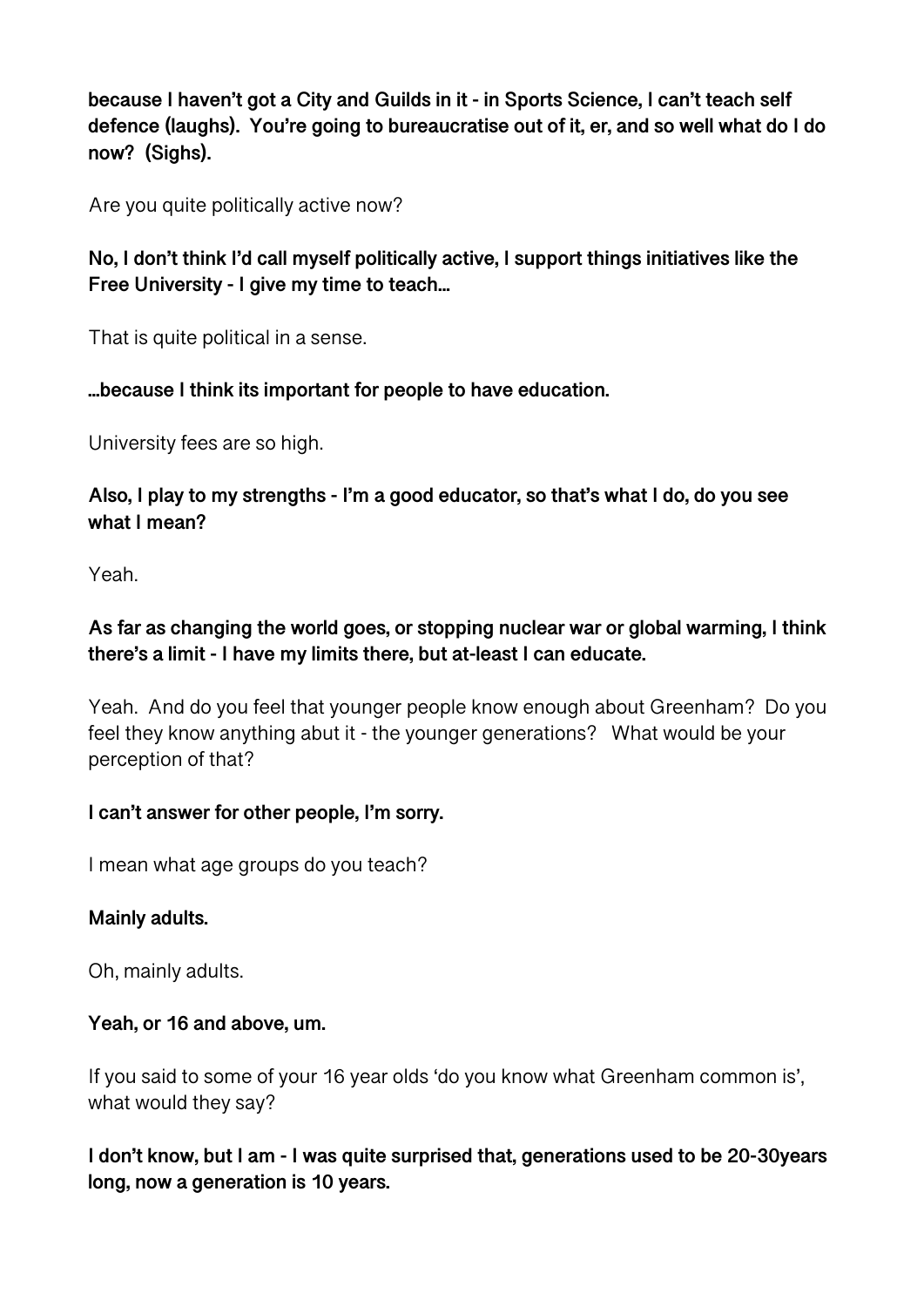**because I haven't got a City and Guilds in it - in Sports Science, I can't teach self defence (laughs). You're going to bureaucratise out of it, er, and so well what do I do now? (Sighs).** 

Are you quite politically active now?

**No, I don't think I'd call myself politically active, I support things initiatives like the Free University - I give my time to teach...** 

That is quite political in a sense.

## **...because I think its important for people to have education.**

University fees are so high.

**Also, I play to my strengths - I'm a good educator, so that's what I do, do you see what I mean?** 

Yeah.

# **As far as changing the world goes, or stopping nuclear war or global warming, I think there's a limit - I have my limits there, but at-least I can educate.**

Yeah. And do you feel that younger people know enough about Greenham? Do you feel they know anything abut it - the younger generations? What would be your perception of that?

# **I can't answer for other people, I'm sorry.**

I mean what age groups do you teach?

# **Mainly adults.**

Oh, mainly adults.

# **Yeah, or 16 and above, um.**

If you said to some of your 16 year olds 'do you know what Greenham common is', what would they say?

**I don't know, but I am - I was quite surprised that, generations used to be 20-30years long, now a generation is 10 years.**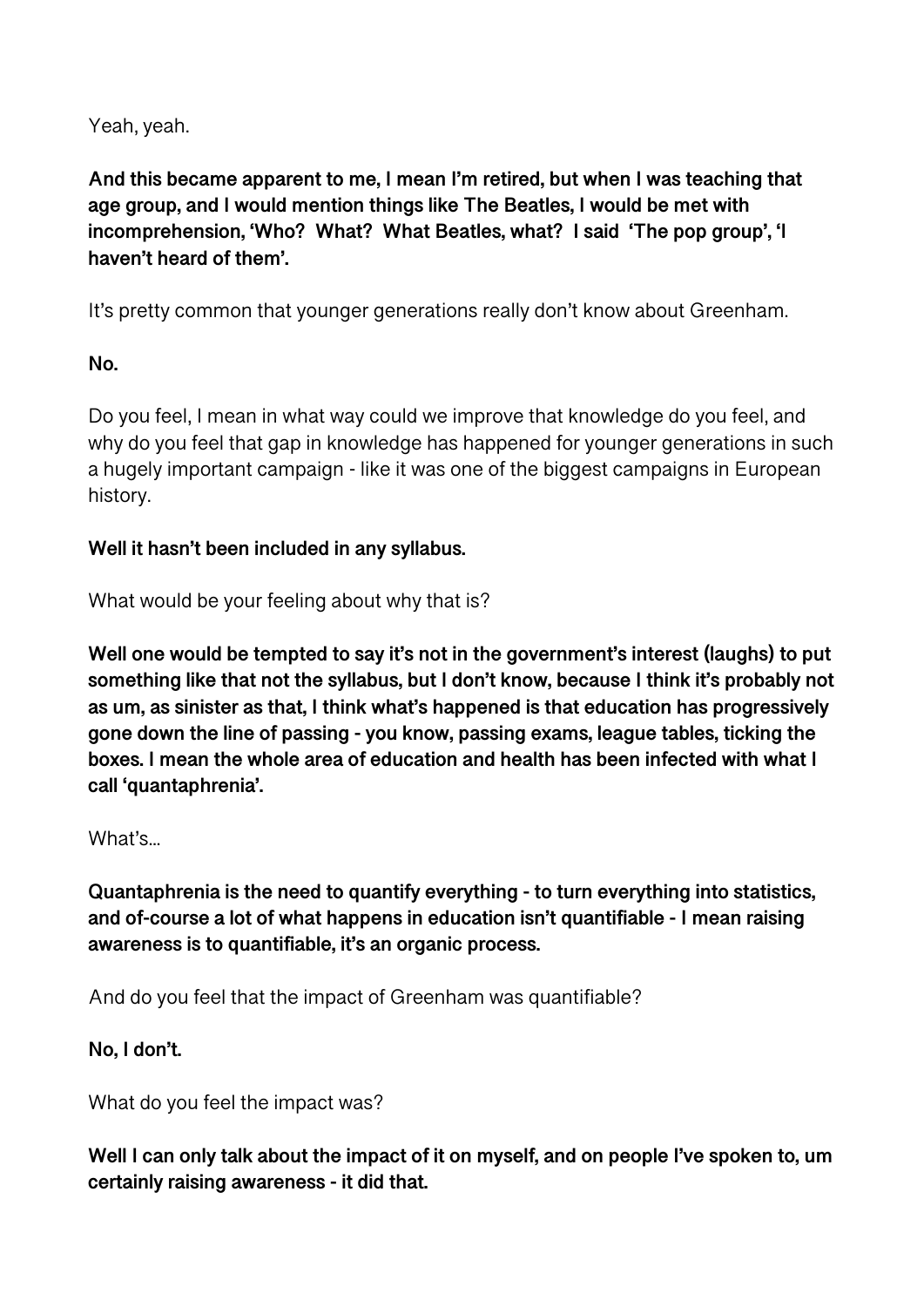Yeah, yeah.

**And this became apparent to me, I mean I'm retired, but when I was teaching that age group, and I would mention things like The Beatles, I would be met with incomprehension, 'Who? What? What Beatles, what? I said 'The pop group', 'I haven't heard of them'.** 

It's pretty common that younger generations really don't know about Greenham.

# **No.**

Do you feel, I mean in what way could we improve that knowledge do you feel, and why do you feel that gap in knowledge has happened for younger generations in such a hugely important campaign - like it was one of the biggest campaigns in European history.

# **Well it hasn't been included in any syllabus.**

What would be your feeling about why that is?

**Well one would be tempted to say it's not in the government's interest (laughs) to put something like that not the syllabus, but I don't know, because I think it's probably not as um, as sinister as that, I think what's happened is that education has progressively gone down the line of passing - you know, passing exams, league tables, ticking the boxes. I mean the whole area of education and health has been infected with what I call 'quantaphrenia'.** 

# What's...

**Quantaphrenia is the need to quantify everything - to turn everything into statistics, and of-course a lot of what happens in education isn't quantifiable - I mean raising awareness is to quantifiable, it's an organic process.** 

And do you feel that the impact of Greenham was quantifiable?

# **No, I don't.**

What do you feel the impact was?

**Well I can only talk about the impact of it on myself, and on people I've spoken to, um certainly raising awareness - it did that.**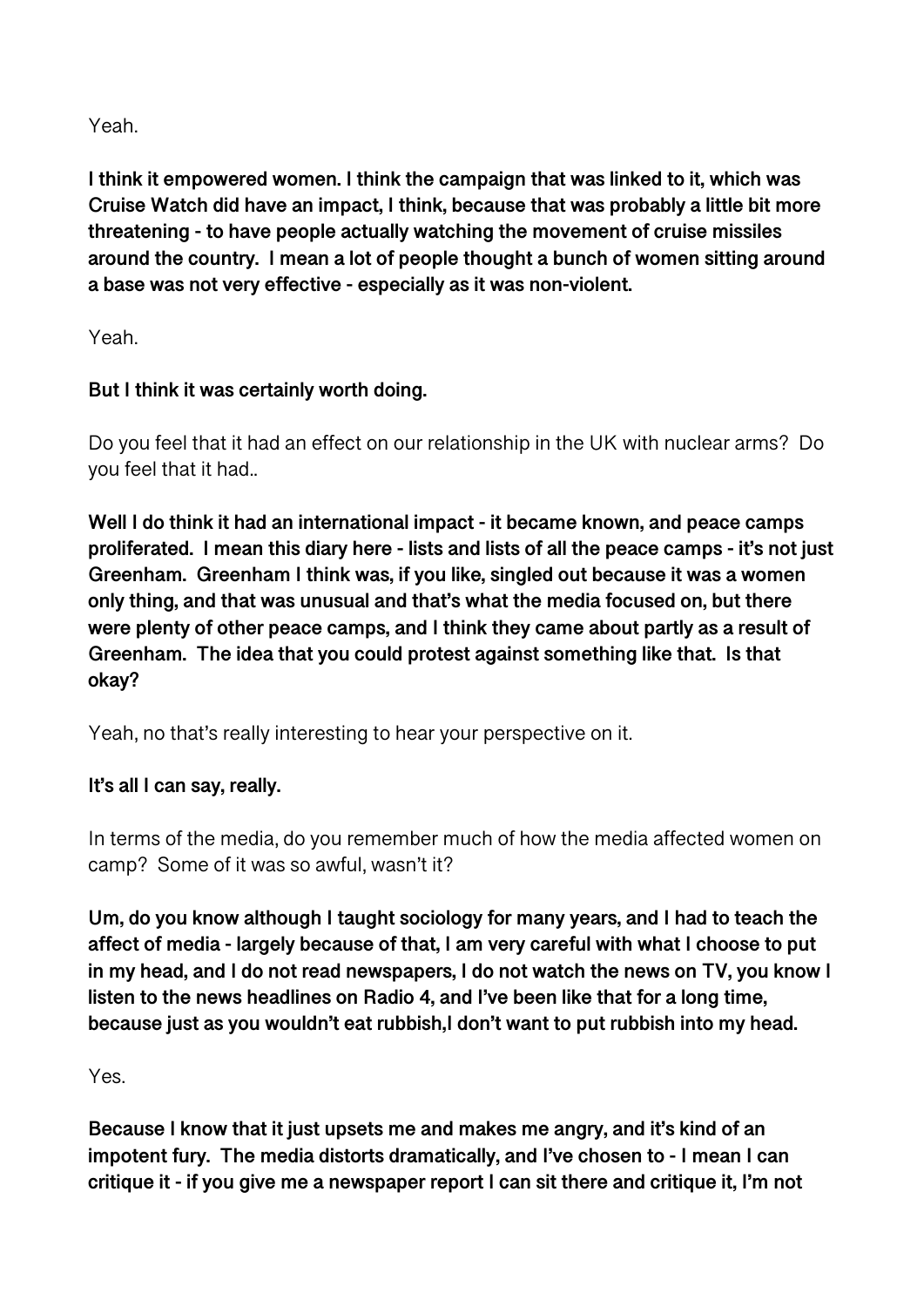Yeah.

**I think it empowered women. I think the campaign that was linked to it, which was Cruise Watch did have an impact, I think, because that was probably a little bit more threatening - to have people actually watching the movement of cruise missiles around the country. I mean a lot of people thought a bunch of women sitting around a base was not very effective - especially as it was non-violent.** 

Yeah.

# **But I think it was certainly worth doing.**

Do you feel that it had an effect on our relationship in the UK with nuclear arms? Do you feel that it had..

**Well I do think it had an international impact - it became known, and peace camps proliferated. I mean this diary here - lists and lists of all the peace camps - it's not just Greenham. Greenham I think was, if you like, singled out because it was a women only thing, and that was unusual and that's what the media focused on, but there were plenty of other peace camps, and I think they came about partly as a result of Greenham. The idea that you could protest against something like that. Is that okay?** 

Yeah, no that's really interesting to hear your perspective on it.

# **It's all I can say, really.**

In terms of the media, do you remember much of how the media affected women on camp? Some of it was so awful, wasn't it?

**Um, do you know although I taught sociology for many years, and I had to teach the affect of media - largely because of that, I am very careful with what I choose to put in my head, and I do not read newspapers, I do not watch the news on TV, you know I listen to the news headlines on Radio 4, and I've been like that for a long time, because just as you wouldn't eat rubbish,I don't want to put rubbish into my head.** 

Yes.

**Because I know that it just upsets me and makes me angry, and it's kind of an impotent fury. The media distorts dramatically, and I've chosen to - I mean I can critique it - if you give me a newspaper report I can sit there and critique it, I'm not**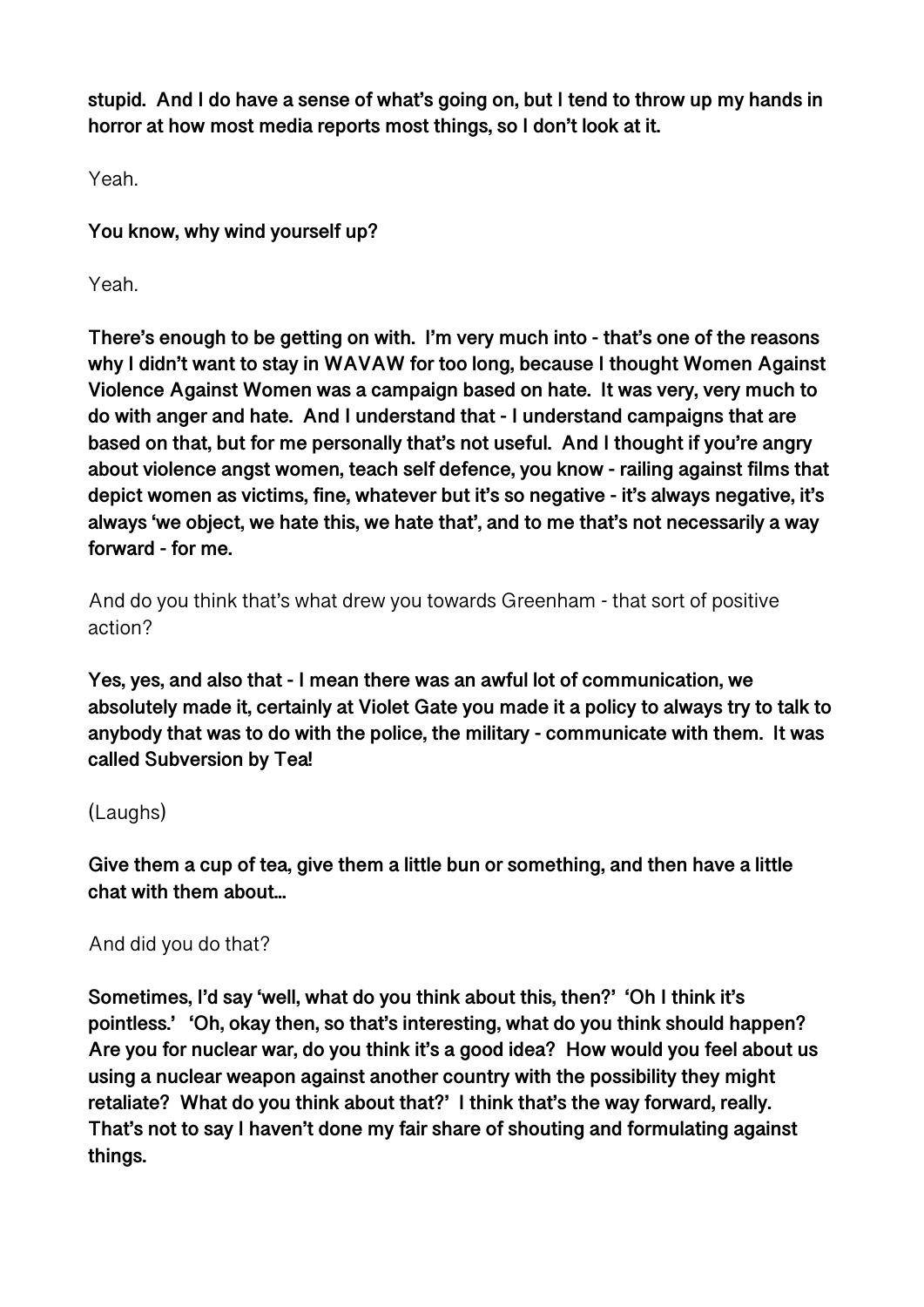**stupid. And I do have a sense of what's going on, but I tend to throw up my hands in horror at how most media reports most things, so I don't look at it.** 

Yeah.

**You know, why wind yourself up?** 

Yeah.

**There's enough to be getting on with. I'm very much into - that's one of the reasons why I didn't want to stay in WAVAW for too long, because I thought Women Against Violence Against Women was a campaign based on hate. It was very, very much to do with anger and hate. And I understand that - I understand campaigns that are based on that, but for me personally that's not useful. And I thought if you're angry about violence angst women, teach self defence, you know - railing against films that depict women as victims, fine, whatever but it's so negative - it's always negative, it's always 'we object, we hate this, we hate that', and to me that's not necessarily a way forward - for me.** 

And do you think that's what drew you towards Greenham - that sort of positive action?

**Yes, yes, and also that - I mean there was an awful lot of communication, we absolutely made it, certainly at Violet Gate you made it a policy to always try to talk to anybody that was to do with the police, the military - communicate with them. It was called Subversion by Tea!** 

# (Laughs)

**Give them a cup of tea, give them a little bun or something, and then have a little chat with them about...** 

And did you do that?

**Sometimes, I'd say 'well, what do you think about this, then?' 'Oh I think it's pointless.' 'Oh, okay then, so that's interesting, what do you think should happen? Are you for nuclear war, do you think it's a good idea? How would you feel about us using a nuclear weapon against another country with the possibility they might retaliate? What do you think about that?' I think that's the way forward, really. That's not to say I haven't done my fair share of shouting and formulating against things.**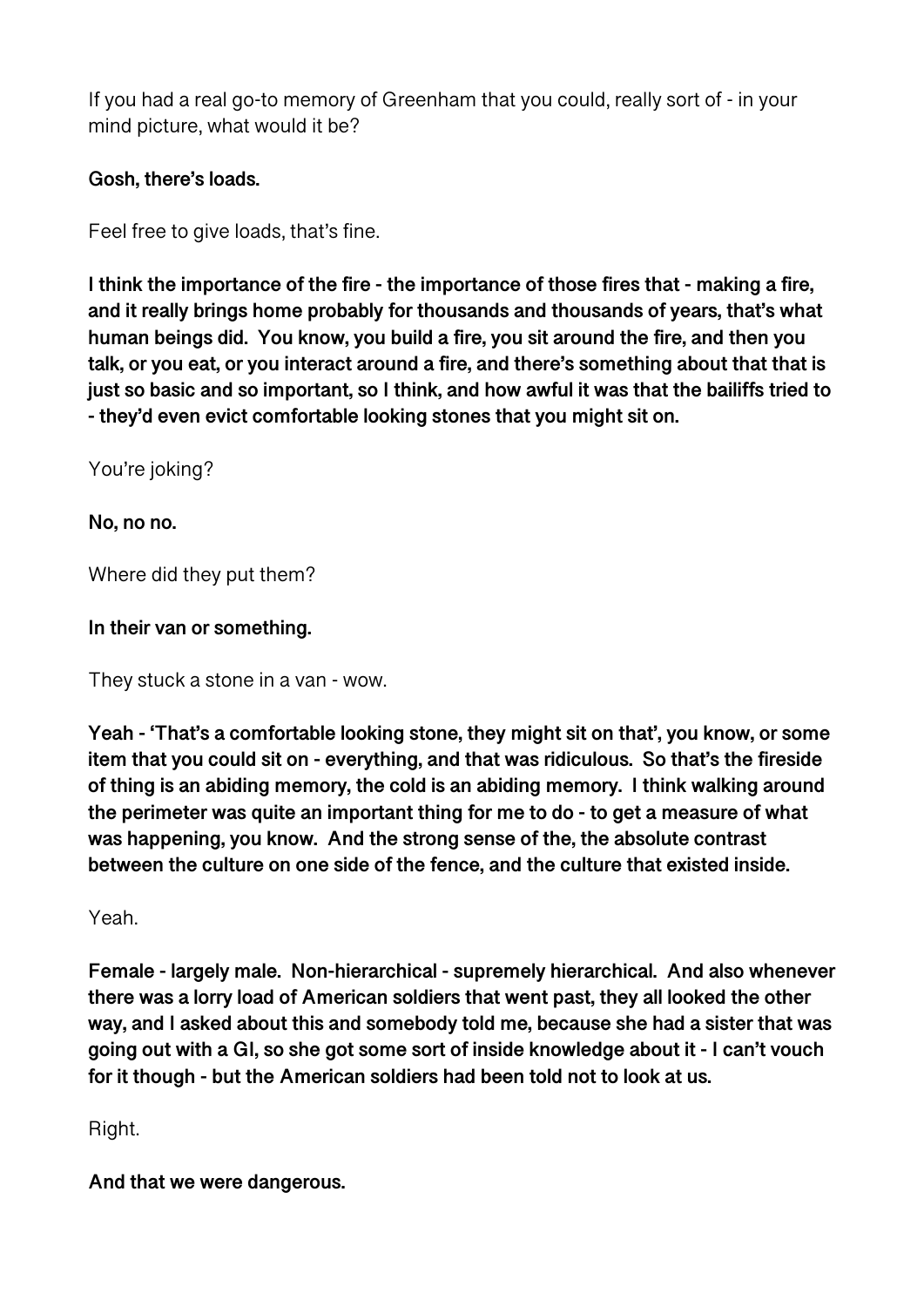If you had a real go-to memory of Greenham that you could, really sort of - in your mind picture, what would it be?

## **Gosh, there's loads.**

Feel free to give loads, that's fine.

**I think the importance of the fire - the importance of those fires that - making a fire, and it really brings home probably for thousands and thousands of years, that's what human beings did. You know, you build a fire, you sit around the fire, and then you talk, or you eat, or you interact around a fire, and there's something about that that is just so basic and so important, so I think, and how awful it was that the bailiffs tried to - they'd even evict comfortable looking stones that you might sit on.** 

You're joking?

**No, no no.** 

Where did they put them?

**In their van or something.** 

They stuck a stone in a van - wow.

**Yeah - 'That's a comfortable looking stone, they might sit on that', you know, or some item that you could sit on - everything, and that was ridiculous. So that's the fireside of thing is an abiding memory, the cold is an abiding memory. I think walking around the perimeter was quite an important thing for me to do - to get a measure of what was happening, you know. And the strong sense of the, the absolute contrast between the culture on one side of the fence, and the culture that existed inside.** 

Yeah.

**Female - largely male. Non-hierarchical - supremely hierarchical. And also whenever there was a lorry load of American soldiers that went past, they all looked the other way, and I asked about this and somebody told me, because she had a sister that was going out with a GI, so she got some sort of inside knowledge about it - I can't vouch for it though - but the American soldiers had been told not to look at us.** 

Right.

**And that we were dangerous.**